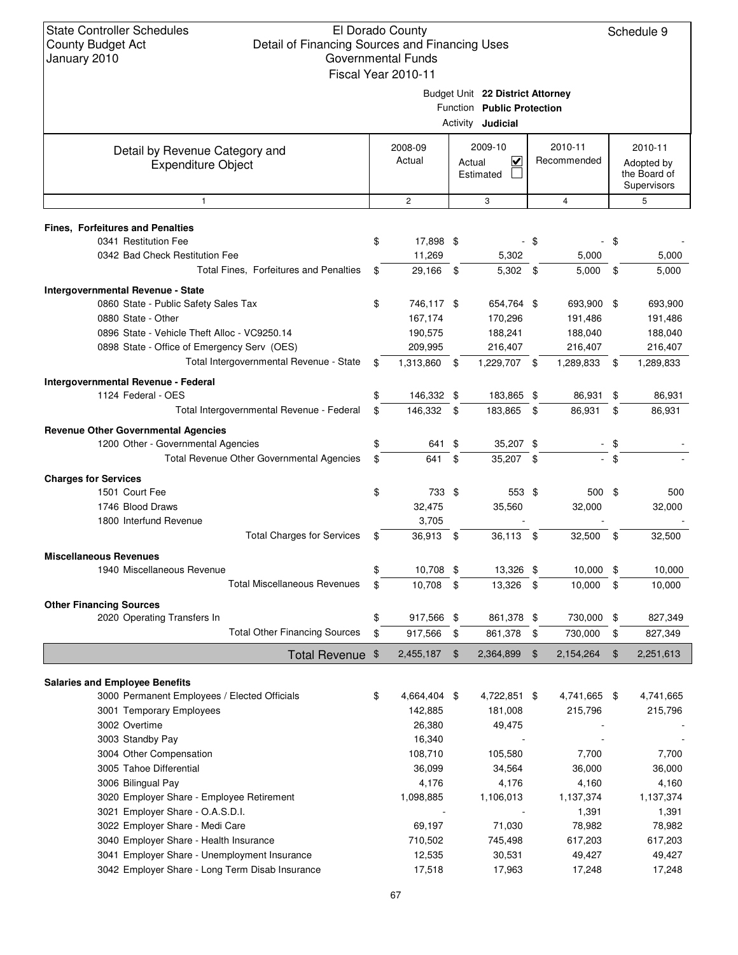|                                                                                       | Fiscal Year 2010-11   |      |                                                                                            |      |                        |      |                                                      |
|---------------------------------------------------------------------------------------|-----------------------|------|--------------------------------------------------------------------------------------------|------|------------------------|------|------------------------------------------------------|
|                                                                                       |                       |      | Budget Unit 22 District Attorney<br>Function Public Protection<br>Activity <b>Judicial</b> |      |                        |      |                                                      |
| Detail by Revenue Category and<br><b>Expenditure Object</b>                           | 2008-09<br>Actual     |      | 2009-10<br>$\overline{\mathbf{v}}$<br>Actual<br>Estimated                                  |      | 2010-11<br>Recommended |      | 2010-11<br>Adopted by<br>the Board of<br>Supervisors |
| 1                                                                                     | $\overline{c}$        |      | 3                                                                                          |      | $\overline{4}$         |      | 5                                                    |
| Fines, Forfeitures and Penalties                                                      |                       |      |                                                                                            |      |                        |      |                                                      |
| 0341 Restitution Fee                                                                  | \$<br>17,898 \$       |      |                                                                                            | - \$ |                        | - \$ |                                                      |
| 0342 Bad Check Restitution Fee                                                        | 11,269                |      | 5,302                                                                                      |      | 5,000                  |      | 5,000                                                |
| Total Fines, Forfeitures and Penalties                                                | \$<br>29,166 \$       |      | $5,302$ \$                                                                                 |      | 5,000                  | \$   | 5,000                                                |
|                                                                                       |                       |      |                                                                                            |      |                        |      |                                                      |
| Intergovernmental Revenue - State                                                     | \$                    |      | 654,764 \$                                                                                 |      | 693,900 \$             |      | 693,900                                              |
| 0860 State - Public Safety Sales Tax<br>0880 State - Other                            | 746,117 \$<br>167,174 |      | 170,296                                                                                    |      | 191,486                |      |                                                      |
| 0896 State - Vehicle Theft Alloc - VC9250.14                                          | 190,575               |      | 188,241                                                                                    |      | 188,040                |      | 191,486<br>188,040                                   |
| 0898 State - Office of Emergency Serv (OES)                                           | 209,995               |      | 216,407                                                                                    |      | 216,407                |      | 216,407                                              |
| Total Intergovernmental Revenue - State                                               |                       |      |                                                                                            |      |                        |      |                                                      |
|                                                                                       | \$<br>1,313,860       | - \$ | 1,229,707 \$                                                                               |      | 1,289,833              | \$   | 1,289,833                                            |
| Intergovernmental Revenue - Federal                                                   |                       |      |                                                                                            |      |                        |      |                                                      |
| 1124 Federal - OES                                                                    | 146,332 \$            |      | 183,865 \$                                                                                 |      | 86,931                 | \$   | 86,931                                               |
| Total Intergovernmental Revenue - Federal                                             | \$<br>146,332 \$      |      | 183,865 \$                                                                                 |      | 86,931                 | \$   | 86,931                                               |
| <b>Revenue Other Governmental Agencies</b>                                            |                       |      |                                                                                            |      |                        |      |                                                      |
| 1200 Other - Governmental Agencies                                                    | \$<br>641 \$          |      | 35,207 \$                                                                                  |      |                        | \$   |                                                      |
| Total Revenue Other Governmental Agencies                                             | \$<br>641             | \$   | 35,207 \$                                                                                  |      |                        | \$   |                                                      |
| <b>Charges for Services</b>                                                           |                       |      |                                                                                            |      |                        |      |                                                      |
| 1501 Court Fee                                                                        | \$<br>733 \$          |      | 553 \$                                                                                     |      | 500 \$                 |      | 500                                                  |
| 1746 Blood Draws                                                                      | 32,475                |      | 35,560                                                                                     |      | 32,000                 |      | 32,000                                               |
| 1800 Interfund Revenue                                                                | 3,705                 |      |                                                                                            |      |                        |      |                                                      |
| <b>Total Charges for Services</b>                                                     | \$<br>36,913 \$       |      | 36,113 \$                                                                                  |      | 32,500 \$              |      | 32,500                                               |
| <b>Miscellaneous Revenues</b>                                                         |                       |      |                                                                                            |      |                        |      |                                                      |
| 1940 Miscellaneous Revenue                                                            | 10,708 \$             |      | 13,326 \$                                                                                  |      | $10,000$ \$            |      | 10,000                                               |
| <b>Total Miscellaneous Revenues</b>                                                   | \$<br>10,708          | \$   | 13,326                                                                                     | \$   | 10,000                 | \$   | 10,000                                               |
|                                                                                       |                       |      |                                                                                            |      |                        |      |                                                      |
| <b>Other Financing Sources</b><br>2020 Operating Transfers In                         | \$<br>917,566 \$      |      | 861,378 \$                                                                                 |      | 730,000                | \$   | 827,349                                              |
| <b>Total Other Financing Sources</b>                                                  | \$<br>917,566         | \$   | 861,378                                                                                    | \$   | 730,000                | \$   | 827,349                                              |
|                                                                                       |                       |      |                                                                                            |      |                        |      |                                                      |
| Total Revenue \$                                                                      | 2,455,187             | - \$ | 2,364,899                                                                                  | \$   | 2,154,264              | \$   | 2,251,613                                            |
|                                                                                       |                       |      |                                                                                            |      |                        |      |                                                      |
| <b>Salaries and Employee Benefits</b><br>3000 Permanent Employees / Elected Officials | \$<br>4,664,404 \$    |      | 4,722,851 \$                                                                               |      | 4,741,665 \$           |      | 4,741,665                                            |
| 3001 Temporary Employees                                                              | 142,885               |      | 181,008                                                                                    |      | 215,796                |      | 215,796                                              |
| 3002 Overtime                                                                         | 26,380                |      | 49,475                                                                                     |      |                        |      |                                                      |
| 3003 Standby Pay                                                                      | 16,340                |      |                                                                                            |      |                        |      |                                                      |
| 3004 Other Compensation                                                               | 108,710               |      | 105,580                                                                                    |      | 7,700                  |      | 7,700                                                |
| 3005 Tahoe Differential                                                               | 36,099                |      | 34,564                                                                                     |      | 36,000                 |      | 36,000                                               |
| 3006 Bilingual Pay                                                                    | 4,176                 |      | 4,176                                                                                      |      | 4,160                  |      | 4,160                                                |
| 3020 Employer Share - Employee Retirement                                             | 1,098,885             |      | 1,106,013                                                                                  |      | 1,137,374              |      | 1,137,374                                            |
| 3021 Employer Share - O.A.S.D.I.                                                      |                       |      |                                                                                            |      | 1,391                  |      | 1,391                                                |
| 3022 Employer Share - Medi Care                                                       | 69,197                |      | 71,030                                                                                     |      | 78,982                 |      | 78,982                                               |
| 3040 Employer Share - Health Insurance                                                | 710,502               |      | 745,498                                                                                    |      | 617,203                |      | 617,203                                              |
| 3041 Employer Share - Unemployment Insurance                                          | 12,535                |      | 30,531                                                                                     |      | 49,427                 |      | 49,427                                               |
| 3042 Employer Share - Long Term Disab Insurance                                       | 17,518                |      | 17,963                                                                                     |      | 17,248                 |      | 17,248                                               |
|                                                                                       |                       |      |                                                                                            |      |                        |      |                                                      |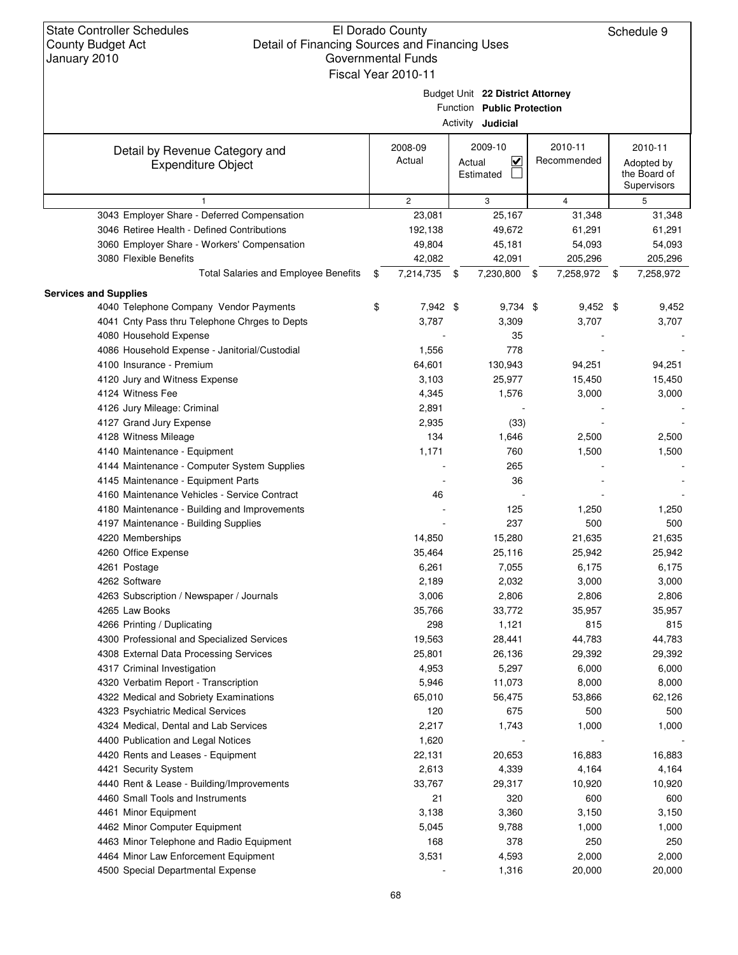|                                                             |                       | Budget Unit 22 District Attorney<br>Function Public Protection<br>Activity <b>Judicial</b> |                        |                                       |
|-------------------------------------------------------------|-----------------------|--------------------------------------------------------------------------------------------|------------------------|---------------------------------------|
| Detail by Revenue Category and<br><b>Expenditure Object</b> | 2008-09<br>Actual     | 2009-10<br>$\overline{\mathbf{v}}$<br>Actual<br>Estimated                                  | 2010-11<br>Recommended | 2010-11<br>Adopted by<br>the Board of |
|                                                             |                       |                                                                                            |                        | Supervisors                           |
| $\mathbf{1}$                                                | $\mathbf{2}^{\prime}$ | 3                                                                                          | $\overline{4}$         | 5                                     |
| 3043 Employer Share - Deferred Compensation                 | 23,081                | 25,167                                                                                     | 31,348                 | 31,348                                |
| 3046 Retiree Health - Defined Contributions                 | 192,138               | 49,672                                                                                     | 61,291                 | 61,291                                |
| 3060 Employer Share - Workers' Compensation                 | 49,804                | 45,181                                                                                     | 54,093                 | 54,093                                |
| 3080 Flexible Benefits                                      | 42,082                | 42,091                                                                                     | 205,296                | 205,296                               |
| <b>Total Salaries and Employee Benefits</b>                 | \$<br>7,214,735       | \$<br>7,230,800 \$                                                                         | 7,258,972 \$           | 7,258,972                             |
| <b>Services and Supplies</b>                                |                       |                                                                                            |                        |                                       |
| 4040 Telephone Company Vendor Payments                      | \$<br>7,942 \$        | $9,734$ \$                                                                                 | $9,452$ \$             | 9,452                                 |
| 4041 Cnty Pass thru Telephone Chrges to Depts               | 3,787                 | 3,309                                                                                      | 3,707                  | 3,707                                 |
| 4080 Household Expense                                      |                       | 35                                                                                         |                        |                                       |
| 4086 Household Expense - Janitorial/Custodial               | 1,556                 | 778                                                                                        |                        |                                       |
| 4100 Insurance - Premium                                    | 64,601                | 130,943                                                                                    | 94,251                 | 94,251                                |
| 4120 Jury and Witness Expense                               | 3,103                 | 25,977                                                                                     | 15,450                 | 15,450                                |
| 4124 Witness Fee                                            | 4,345                 | 1,576                                                                                      | 3,000                  | 3,000                                 |
| 4126 Jury Mileage: Criminal                                 | 2,891                 |                                                                                            |                        |                                       |
| 4127 Grand Jury Expense                                     | 2,935                 | (33)                                                                                       |                        |                                       |
| 4128 Witness Mileage                                        | 134                   | 1,646                                                                                      | 2,500                  | 2,500                                 |
| 4140 Maintenance - Equipment                                | 1,171                 | 760                                                                                        | 1,500                  | 1,500                                 |
| 4144 Maintenance - Computer System Supplies                 |                       | 265                                                                                        |                        |                                       |
| 4145 Maintenance - Equipment Parts                          |                       | 36                                                                                         |                        |                                       |
| 4160 Maintenance Vehicles - Service Contract                | 46                    |                                                                                            |                        |                                       |
| 4180 Maintenance - Building and Improvements                |                       | 125                                                                                        | 1,250                  | 1,250                                 |
| 4197 Maintenance - Building Supplies                        |                       | 237                                                                                        | 500                    | 500                                   |
| 4220 Memberships                                            | 14,850                | 15,280                                                                                     | 21,635                 | 21,635                                |
| 4260 Office Expense                                         | 35,464                | 25,116                                                                                     | 25,942                 | 25,942                                |
| 4261 Postage                                                | 6,261                 | 7,055                                                                                      | 6,175                  | 6,175                                 |
| 4262 Software                                               | 2,189                 | 2,032                                                                                      | 3,000                  | 3,000                                 |
| 4263 Subscription / Newspaper / Journals                    | 3,006                 | 2,806                                                                                      | 2,806                  | 2,806                                 |
| 4265 Law Books                                              | 35,766                | 33,772                                                                                     | 35,957                 | 35,957                                |
| 4266 Printing / Duplicating                                 | 298                   | 1,121                                                                                      | 815                    | 815                                   |
| 4300 Professional and Specialized Services                  | 19,563                | 28,441                                                                                     | 44,783                 | 44,783                                |
| 4308 External Data Processing Services                      | 25,801                | 26,136                                                                                     | 29,392                 | 29,392                                |
| 4317 Criminal Investigation                                 | 4,953                 | 5,297                                                                                      | 6,000                  | 6,000                                 |
| 4320 Verbatim Report - Transcription                        | 5,946                 | 11,073                                                                                     | 8,000                  | 8,000                                 |
| 4322 Medical and Sobriety Examinations                      | 65,010                | 56,475                                                                                     | 53,866                 | 62,126                                |
| 4323 Psychiatric Medical Services                           | 120                   | 675                                                                                        | 500                    | 500                                   |
| 4324 Medical, Dental and Lab Services                       | 2,217                 | 1,743                                                                                      | 1,000                  | 1,000                                 |
| 4400 Publication and Legal Notices                          | 1,620                 |                                                                                            |                        |                                       |
| 4420 Rents and Leases - Equipment                           | 22,131                | 20,653                                                                                     | 16,883                 | 16,883                                |
| 4421 Security System                                        | 2,613                 | 4,339                                                                                      | 4,164                  | 4,164                                 |
| 4440 Rent & Lease - Building/Improvements                   | 33,767                | 29,317                                                                                     | 10,920                 | 10,920                                |
| 4460 Small Tools and Instruments                            | 21                    | 320                                                                                        | 600                    | 600                                   |
| 4461 Minor Equipment                                        | 3,138                 | 3,360                                                                                      | 3,150                  | 3,150                                 |
| 4462 Minor Computer Equipment                               | 5,045                 | 9,788                                                                                      | 1,000                  | 1,000                                 |
| 4463 Minor Telephone and Radio Equipment                    | 168                   | 378                                                                                        | 250                    | 250                                   |
| 4464 Minor Law Enforcement Equipment                        | 3,531                 | 4,593                                                                                      | 2,000                  | 2,000                                 |
| 4500 Special Departmental Expense                           |                       | 1,316                                                                                      | 20,000                 | 20,000                                |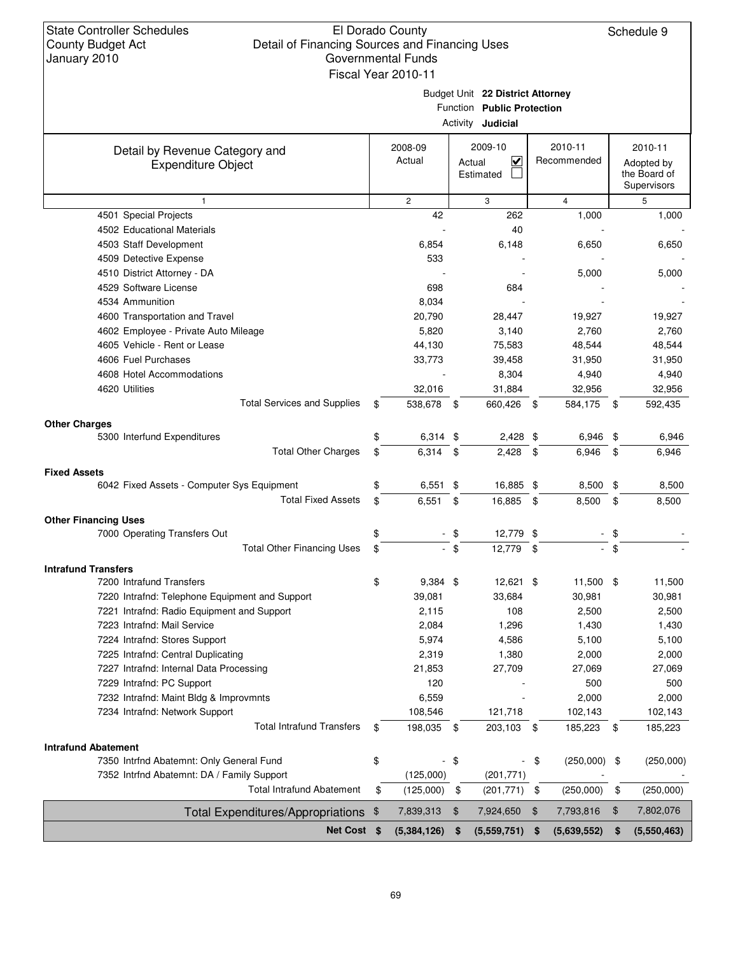| <b>State Controller Schedules</b><br><b>County Budget Act</b><br>January 2010 | Detail of Financing Sources and Financing Uses | El Dorado County<br><b>Governmental Funds</b><br>Fiscal Year 2010-11 |        |                                                                                            |               |                        | Schedule 9                                           |
|-------------------------------------------------------------------------------|------------------------------------------------|----------------------------------------------------------------------|--------|--------------------------------------------------------------------------------------------|---------------|------------------------|------------------------------------------------------|
|                                                                               |                                                |                                                                      |        | Budget Unit 22 District Attorney<br>Function Public Protection<br>Activity <b>Judicial</b> |               |                        |                                                      |
| Detail by Revenue Category and<br><b>Expenditure Object</b>                   |                                                | 2008-09<br>Actual                                                    |        | 2009-10<br>$\overline{\mathbf{v}}$<br>Actual<br>Estimated                                  |               | 2010-11<br>Recommended | 2010-11<br>Adopted by<br>the Board of<br>Supervisors |
| $\mathbf{1}$                                                                  |                                                | $\mathbf{2}$                                                         |        | 3                                                                                          |               | 4                      | 5                                                    |
| 4501 Special Projects                                                         |                                                | 42                                                                   |        | 262                                                                                        |               | 1,000                  | 1,000                                                |
| 4502 Educational Materials                                                    |                                                |                                                                      |        | 40                                                                                         |               |                        |                                                      |
| 4503 Staff Development                                                        |                                                | 6,854                                                                |        | 6,148                                                                                      |               | 6,650                  | 6,650                                                |
| 4509 Detective Expense                                                        |                                                | 533                                                                  |        |                                                                                            |               |                        |                                                      |
| 4510 District Attorney - DA                                                   |                                                |                                                                      |        |                                                                                            |               | 5,000                  | 5,000                                                |
| 4529 Software License                                                         |                                                | 698                                                                  |        | 684                                                                                        |               |                        |                                                      |
| 4534 Ammunition                                                               |                                                | 8,034                                                                |        |                                                                                            |               |                        |                                                      |
| 4600 Transportation and Travel<br>4602 Employee - Private Auto Mileage        |                                                | 20,790<br>5,820                                                      |        | 28,447<br>3,140                                                                            |               | 19,927<br>2,760        | 19,927<br>2,760                                      |
| 4605 Vehicle - Rent or Lease                                                  |                                                | 44,130                                                               |        | 75,583                                                                                     |               | 48,544                 | 48,544                                               |
| 4606 Fuel Purchases                                                           |                                                | 33,773                                                               |        | 39,458                                                                                     |               | 31,950                 | 31,950                                               |
| 4608 Hotel Accommodations                                                     |                                                |                                                                      |        | 8,304                                                                                      |               | 4,940                  | 4,940                                                |
| 4620 Utilities                                                                |                                                | 32,016                                                               |        | 31,884                                                                                     |               | 32,956                 | 32,956                                               |
|                                                                               | <b>Total Services and Supplies</b>             | \$<br>538,678 \$                                                     |        | 660,426                                                                                    | -\$           | 584,175 \$             | 592,435                                              |
|                                                                               |                                                |                                                                      |        |                                                                                            |               |                        |                                                      |
| <b>Other Charges</b><br>5300 Interfund Expenditures                           |                                                | \$<br>$6,314$ \$                                                     |        | $2,428$ \$                                                                                 |               | 6,946                  | \$<br>6,946                                          |
|                                                                               | <b>Total Other Charges</b>                     | \$<br>$6,314$ \$                                                     |        | 2,428                                                                                      | \$            | 6,946                  | \$<br>6,946                                          |
|                                                                               |                                                |                                                                      |        |                                                                                            |               |                        |                                                      |
| <b>Fixed Assets</b><br>6042 Fixed Assets - Computer Sys Equipment             |                                                | \$<br>6,551                                                          | \$     | 16,885 \$                                                                                  |               | 8,500                  | \$<br>8,500                                          |
|                                                                               | <b>Total Fixed Assets</b>                      | \$<br>6,551                                                          | \$     | 16,885 \$                                                                                  |               | 8,500                  | \$<br>8,500                                          |
|                                                                               |                                                |                                                                      |        |                                                                                            |               |                        |                                                      |
| <b>Other Financing Uses</b>                                                   |                                                |                                                                      |        |                                                                                            |               |                        |                                                      |
| 7000 Operating Transfers Out                                                  | <b>Total Other Financing Uses</b>              | \$                                                                   | \$     | 12,779 \$                                                                                  |               |                        | \$                                                   |
|                                                                               |                                                | \$                                                                   | $-$ \$ | 12,779                                                                                     | -\$           | $\blacksquare$         | \$                                                   |
| <b>Intrafund Transfers</b>                                                    |                                                |                                                                      |        |                                                                                            |               |                        |                                                      |
| 7200 Intrafund Transfers                                                      |                                                | \$<br>9,384 \$                                                       |        | 12,621 \$                                                                                  |               | 11,500                 | \$<br>11,500                                         |
| 7220 Intrafnd: Telephone Equipment and Support                                |                                                | 39,081                                                               |        | 33,684                                                                                     |               | 30,981                 | 30,981                                               |
| 7221 Intrafnd: Radio Equipment and Support                                    |                                                | 2,115                                                                |        | 108                                                                                        |               | 2,500                  | 2,500                                                |
| 7223 Intrafnd: Mail Service                                                   |                                                | 2,084                                                                |        | 1,296                                                                                      |               | 1,430                  | 1,430                                                |
| 7224 Intrafnd: Stores Support                                                 |                                                | 5,974<br>2,319                                                       |        | 4,586<br>1,380                                                                             |               | 5,100                  | 5,100<br>2,000                                       |
| 7225 Intrafnd: Central Duplicating<br>7227 Intrafnd: Internal Data Processing |                                                | 21,853                                                               |        | 27,709                                                                                     |               | 2,000<br>27,069        | 27,069                                               |
| 7229 Intrafnd: PC Support                                                     |                                                | 120                                                                  |        |                                                                                            |               | 500                    | 500                                                  |
| 7232 Intrafnd: Maint Bldg & Improvmnts                                        |                                                | 6,559                                                                |        |                                                                                            |               | 2,000                  | 2,000                                                |
| 7234 Intrafnd: Network Support                                                |                                                | 108,546                                                              |        | 121,718                                                                                    |               | 102,143                | 102,143                                              |
|                                                                               | <b>Total Intrafund Transfers</b>               | \$<br>198,035 \$                                                     |        | 203,103                                                                                    | \$            | 185,223                | \$<br>185,223                                        |
|                                                                               |                                                |                                                                      |        |                                                                                            |               |                        |                                                      |
| <b>Intrafund Abatement</b><br>7350 Intrfnd Abatemnt: Only General Fund        |                                                | \$                                                                   | - \$   |                                                                                            | \$            | (250,000)              | \$<br>(250,000)                                      |
| 7352 Intrfnd Abatemnt: DA / Family Support                                    |                                                | (125,000)                                                            |        | (201, 771)                                                                                 |               |                        |                                                      |
|                                                                               | <b>Total Intrafund Abatement</b>               | \$<br>(125,000)                                                      | \$     | (201, 771)                                                                                 | \$            | (250,000)              | \$<br>(250,000)                                      |
|                                                                               |                                                |                                                                      |        |                                                                                            |               |                        |                                                      |
| <b>Total Expenditures/Appropriations</b>                                      |                                                | \$<br>7,839,313                                                      | \$     | 7,924,650                                                                                  | $\frac{1}{2}$ | 7,793,816              | \$<br>7,802,076                                      |
|                                                                               | Net Cost \$                                    | (5,384,126)                                                          | \$     | (5,559,751)                                                                                | \$            | (5,639,552)            | \$<br>(5,550,463)                                    |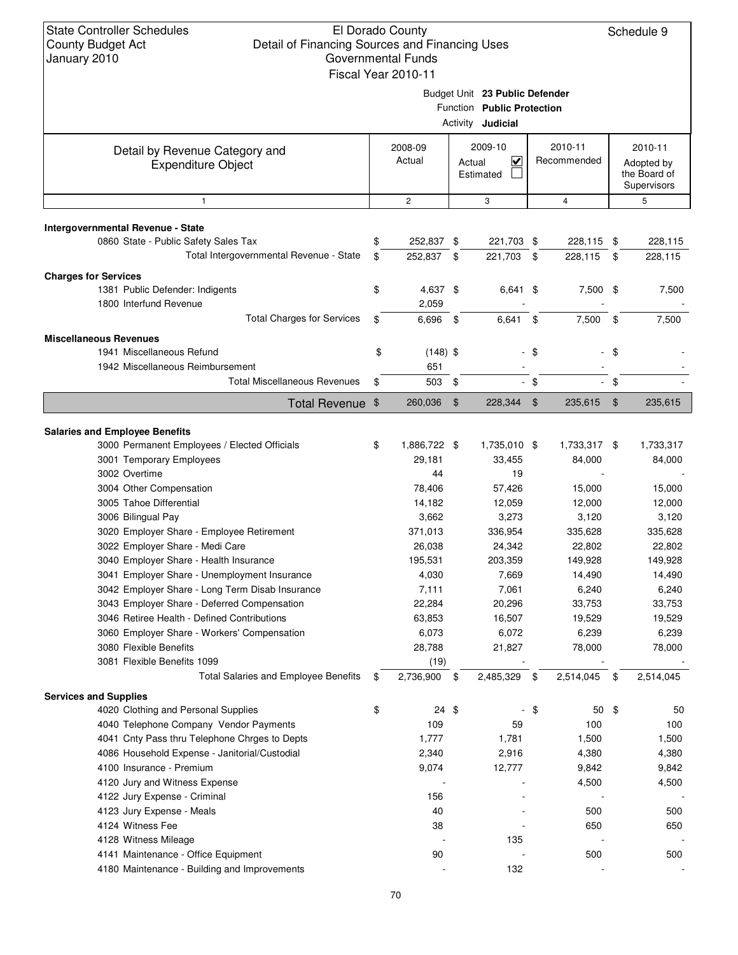|                                                                         | Fiscal Year 2010-11 |      |                                                                                          |        |                        |               |                                                      |
|-------------------------------------------------------------------------|---------------------|------|------------------------------------------------------------------------------------------|--------|------------------------|---------------|------------------------------------------------------|
|                                                                         |                     |      | Budget Unit 23 Public Defender<br>Function Public Protection<br>Activity <b>Judicial</b> |        |                        |               |                                                      |
| Detail by Revenue Category and<br><b>Expenditure Object</b>             | 2008-09<br>Actual   |      | 2009-10<br>$\checkmark$<br>Actual<br>Estimated                                           |        | 2010-11<br>Recommended |               | 2010-11<br>Adopted by<br>the Board of<br>Supervisors |
| $\mathbf{1}$                                                            | $\overline{c}$      |      | 3                                                                                        |        | $\overline{4}$         |               | 5                                                    |
| <b>Intergovernmental Revenue - State</b>                                |                     |      |                                                                                          |        |                        |               |                                                      |
| 0860 State - Public Safety Sales Tax                                    | \$<br>252,837 \$    |      | 221,703 \$                                                                               |        | 228,115 \$             |               | 228,115                                              |
| Total Intergovernmental Revenue - State                                 | \$<br>252,837 \$    |      | 221,703 \$                                                                               |        | 228,115                | \$            | 228,115                                              |
|                                                                         |                     |      |                                                                                          |        |                        |               |                                                      |
| <b>Charges for Services</b><br>1381 Public Defender: Indigents          | \$<br>4,637 \$      |      | 6,641 \$                                                                                 |        | 7,500 \$               |               | 7,500                                                |
| 1800 Interfund Revenue                                                  | 2,059               |      |                                                                                          |        |                        |               |                                                      |
| <b>Total Charges for Services</b>                                       | \$<br>6,696         | -\$  | 6,641                                                                                    | \$     | 7,500                  | \$            | 7,500                                                |
|                                                                         |                     |      |                                                                                          |        |                        |               |                                                      |
| <b>Miscellaneous Revenues</b>                                           |                     |      |                                                                                          |        |                        |               |                                                      |
| 1941 Miscellaneous Refund                                               | \$<br>$(148)$ \$    |      |                                                                                          | $-$ \$ |                        | - \$          |                                                      |
| 1942 Miscellaneous Reimbursement<br><b>Total Miscellaneous Revenues</b> | \$<br>651<br>503    | \$   |                                                                                          | $-$ \$ |                        | \$            |                                                      |
|                                                                         |                     |      |                                                                                          |        |                        |               |                                                      |
| Total Revenue \$                                                        | 260,036             | \$   | 228,344                                                                                  | \$     | 235,615                | $\frac{1}{2}$ | 235,615                                              |
| <b>Salaries and Employee Benefits</b>                                   |                     |      |                                                                                          |        |                        |               |                                                      |
| 3000 Permanent Employees / Elected Officials                            | \$<br>1,886,722 \$  |      | 1,735,010 \$                                                                             |        | 1,733,317 \$           |               | 1,733,317                                            |
| 3001 Temporary Employees                                                | 29,181              |      | 33,455                                                                                   |        | 84,000                 |               | 84,000                                               |
| 3002 Overtime                                                           | 44                  |      | 19                                                                                       |        |                        |               |                                                      |
| 3004 Other Compensation                                                 | 78,406              |      | 57,426                                                                                   |        | 15,000                 |               | 15,000                                               |
| 3005 Tahoe Differential                                                 | 14,182              |      | 12,059                                                                                   |        | 12,000                 |               | 12,000                                               |
| 3006 Bilingual Pay                                                      | 3,662               |      | 3,273                                                                                    |        | 3,120                  |               | 3,120                                                |
| 3020 Employer Share - Employee Retirement                               | 371,013             |      | 336,954                                                                                  |        | 335,628                |               | 335,628                                              |
| 3022 Employer Share - Medi Care                                         | 26,038              |      | 24,342                                                                                   |        | 22,802                 |               | 22,802                                               |
| 3040 Employer Share - Health Insurance                                  | 195,531             |      | 203,359                                                                                  |        | 149,928                |               | 149,928                                              |
| 3041 Employer Share - Unemployment Insurance                            | 4,030               |      | 7,669                                                                                    |        | 14,490                 |               | 14,490                                               |
| 3042 Employer Share - Long Term Disab Insurance                         | 7,111               |      | 7,061                                                                                    |        | 6,240                  |               | 6,240                                                |
| 3043 Emplover Share - Deferred Compensation                             | 22,284              |      | 20,296                                                                                   |        | 33,753                 |               | 33,753                                               |
| 3046 Retiree Health - Defined Contributions                             | 63,853              |      | 16,507                                                                                   |        | 19,529                 |               | 19,529                                               |
| 3060 Employer Share - Workers' Compensation                             | 6,073               |      | 6,072                                                                                    |        | 6,239                  |               | 6,239                                                |
| 3080 Flexible Benefits                                                  | 28,788              |      | 21,827                                                                                   |        | 78,000                 |               | 78,000                                               |
| 3081 Flexible Benefits 1099                                             | (19)                |      |                                                                                          |        |                        |               |                                                      |
| <b>Total Salaries and Employee Benefits</b>                             | \$<br>2,736,900     | - \$ | 2,485,329                                                                                | \$     | 2,514,045              | \$            | 2,514,045                                            |
| <b>Services and Supplies</b>                                            |                     |      |                                                                                          |        |                        |               |                                                      |
| 4020 Clothing and Personal Supplies                                     | \$<br>$24$ \$       |      |                                                                                          | \$     | $50*$                  |               | 50                                                   |
| 4040 Telephone Company Vendor Payments                                  | 109                 |      | 59                                                                                       |        | 100                    |               | 100                                                  |
| 4041 Cnty Pass thru Telephone Chrges to Depts                           | 1,777               |      | 1,781                                                                                    |        | 1,500                  |               | 1,500                                                |
| 4086 Household Expense - Janitorial/Custodial                           | 2,340               |      | 2,916                                                                                    |        | 4,380                  |               | 4,380                                                |
| 4100 Insurance - Premium                                                | 9,074               |      | 12,777                                                                                   |        | 9,842                  |               | 9,842                                                |
| 4120 Jury and Witness Expense                                           |                     |      |                                                                                          |        | 4,500                  |               | 4,500                                                |
| 4122 Jury Expense - Criminal                                            | 156                 |      |                                                                                          |        |                        |               |                                                      |
| 4123 Jury Expense - Meals<br>4124 Witness Fee                           | 40<br>38            |      |                                                                                          |        | 500<br>650             |               | 500                                                  |
| 4128 Witness Mileage                                                    |                     |      | 135                                                                                      |        |                        |               | 650                                                  |
| 4141 Maintenance - Office Equipment                                     | 90                  |      |                                                                                          |        | 500                    |               | 500                                                  |
| 4180 Maintenance - Building and Improvements                            |                     |      | 132                                                                                      |        |                        |               |                                                      |
|                                                                         |                     |      |                                                                                          |        |                        |               |                                                      |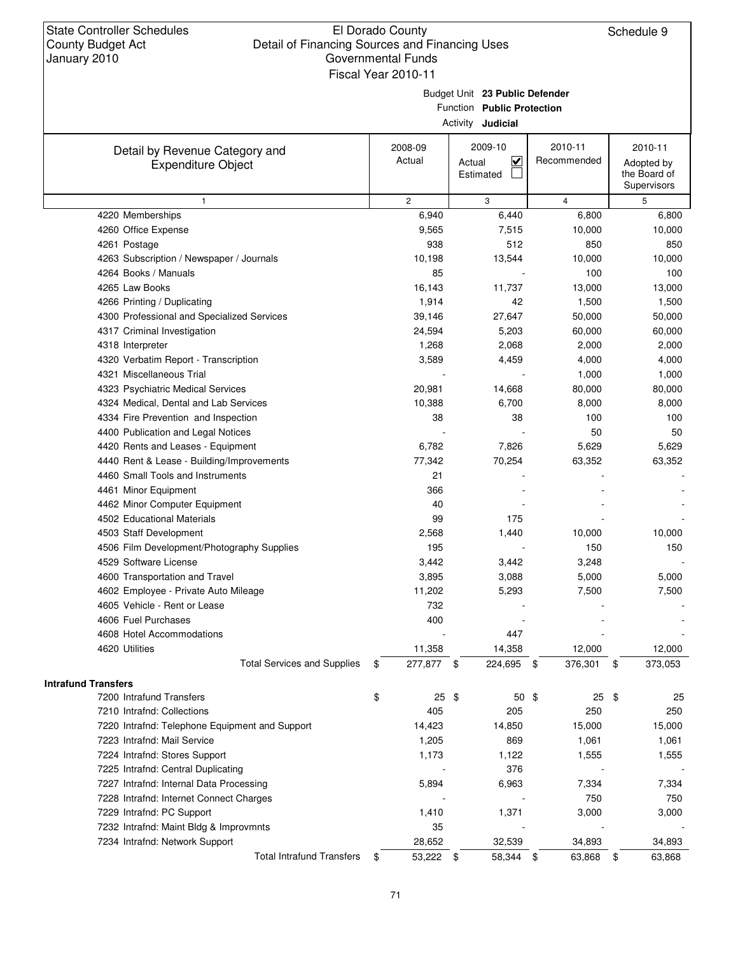|                                                             | Fiscal Year 2010-11 |                                                                                          |                        |                                                      |
|-------------------------------------------------------------|---------------------|------------------------------------------------------------------------------------------|------------------------|------------------------------------------------------|
|                                                             |                     | Budget Unit 23 Public Defender<br>Function Public Protection<br>Activity <b>Judicial</b> |                        |                                                      |
| Detail by Revenue Category and<br><b>Expenditure Object</b> | 2008-09<br>Actual   | 2009-10<br>$\overline{\mathbf{v}}$<br>Actual<br>Estimated                                | 2010-11<br>Recommended | 2010-11<br>Adopted by<br>the Board of<br>Supervisors |
| $\mathbf{1}$                                                | $\overline{c}$      | 3                                                                                        | 4                      | 5                                                    |
| 4220 Memberships                                            | 6,940               | 6,440                                                                                    | 6,800                  | 6,800                                                |
| 4260 Office Expense                                         | 9,565               | 7,515                                                                                    | 10,000                 | 10,000                                               |
| 4261 Postage                                                | 938                 | 512                                                                                      | 850                    | 850                                                  |
| 4263 Subscription / Newspaper / Journals                    | 10,198              | 13,544                                                                                   | 10,000                 | 10,000                                               |
| 4264 Books / Manuals                                        | 85                  |                                                                                          | 100                    | 100                                                  |
| 4265 Law Books                                              | 16,143              | 11,737                                                                                   | 13,000                 | 13,000                                               |
| 4266 Printing / Duplicating                                 | 1,914               | 42                                                                                       | 1,500                  | 1,500                                                |
| 4300 Professional and Specialized Services                  | 39,146              | 27,647                                                                                   | 50,000                 | 50,000                                               |
| 4317 Criminal Investigation                                 | 24,594              | 5,203                                                                                    | 60,000                 | 60,000                                               |
| 4318 Interpreter                                            | 1,268               | 2,068                                                                                    | 2,000                  | 2,000                                                |
| 4320 Verbatim Report - Transcription                        | 3,589               | 4,459                                                                                    | 4,000                  | 4,000                                                |
| 4321 Miscellaneous Trial                                    |                     |                                                                                          | 1,000                  | 1,000                                                |
| 4323 Psychiatric Medical Services                           | 20,981              | 14,668                                                                                   | 80,000                 | 80,000                                               |
| 4324 Medical, Dental and Lab Services                       | 10,388              | 6,700                                                                                    | 8,000                  | 8,000                                                |
| 4334 Fire Prevention and Inspection                         | 38                  | 38                                                                                       | 100                    | 100                                                  |
| 4400 Publication and Legal Notices                          |                     |                                                                                          | 50                     | 50                                                   |
| 4420 Rents and Leases - Equipment                           | 6,782               | 7,826                                                                                    | 5,629                  | 5,629                                                |
| 4440 Rent & Lease - Building/Improvements                   | 77,342              | 70,254                                                                                   | 63,352                 | 63,352                                               |
| 4460 Small Tools and Instruments                            | 21                  |                                                                                          |                        |                                                      |
| 4461 Minor Equipment                                        | 366                 |                                                                                          |                        |                                                      |
| 4462 Minor Computer Equipment                               | 40                  |                                                                                          |                        |                                                      |
| 4502 Educational Materials                                  | 99                  | 175                                                                                      |                        |                                                      |
| 4503 Staff Development                                      | 2,568               | 1,440                                                                                    | 10,000                 | 10,000                                               |
| 4506 Film Development/Photography Supplies                  | 195                 |                                                                                          | 150                    | 150                                                  |
| 4529 Software License                                       | 3,442               | 3,442                                                                                    | 3,248                  |                                                      |
| 4600 Transportation and Travel                              | 3,895               | 3,088                                                                                    | 5,000                  | 5,000                                                |
| 4602 Employee - Private Auto Mileage                        | 11,202              | 5,293                                                                                    | 7,500                  | 7,500                                                |
| 4605 Vehicle - Rent or Lease                                | 732                 |                                                                                          |                        |                                                      |
| 4606 Fuel Purchases                                         | 400                 |                                                                                          |                        |                                                      |
| 4608 Hotel Accommodations                                   |                     | 447                                                                                      |                        |                                                      |
| 4620 Utilities                                              | 11,358              | 14,358                                                                                   | 12,000                 | 12,000                                               |
| <b>Total Services and Supplies</b>                          | 277,877 \$<br>\$    | 224,695 \$                                                                               | 376,301                | 373,053<br>\$                                        |
| <b>Intrafund Transfers</b>                                  |                     |                                                                                          |                        |                                                      |
| 7200 Intrafund Transfers                                    | $25$ \$<br>\$       | $50*$                                                                                    | 25                     | -\$<br>25                                            |
| 7210 Intrafnd: Collections                                  | 405                 | 205                                                                                      | 250                    | 250                                                  |
| 7220 Intrafnd: Telephone Equipment and Support              | 14,423              | 14,850                                                                                   | 15,000                 | 15,000                                               |
| 7223 Intrafnd: Mail Service                                 | 1,205               | 869                                                                                      | 1,061                  | 1,061                                                |
| 7224 Intrafnd: Stores Support                               | 1,173               | 1,122                                                                                    | 1,555                  | 1,555                                                |
| 7225 Intrafnd: Central Duplicating                          |                     | 376                                                                                      |                        |                                                      |
| 7227 Intrafnd: Internal Data Processing                     | 5,894               | 6,963                                                                                    | 7,334                  | 7,334                                                |
| 7228 Intrafnd: Internet Connect Charges                     |                     |                                                                                          | 750                    | 750                                                  |
| 7229 Intrafnd: PC Support                                   | 1,410               | 1,371                                                                                    | 3,000                  | 3,000                                                |
| 7232 Intrafnd: Maint Bldg & Improvmnts                      | 35                  |                                                                                          |                        |                                                      |
| 7234 Intrafnd: Network Support                              | 28,652              | 32,539                                                                                   | 34,893                 | 34,893                                               |
| <b>Total Intrafund Transfers</b>                            | 53,222 \$<br>\$     | 58,344 \$                                                                                | 63,868                 | 63,868<br>\$                                         |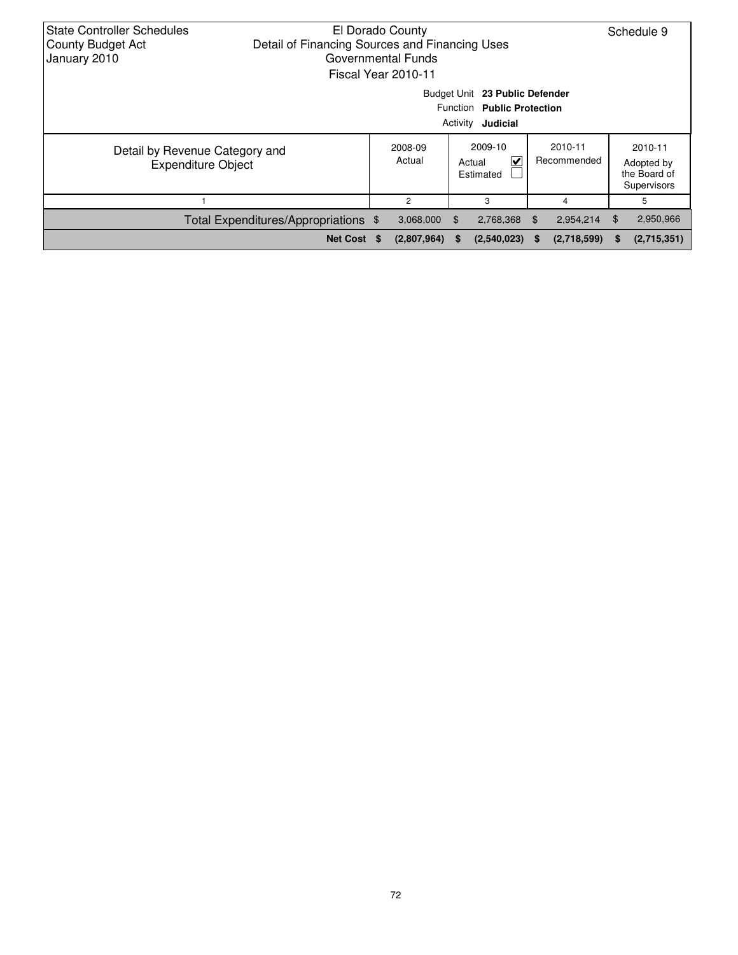| <b>State Controller Schedules</b><br><b>County Budget Act</b><br>January 2010 | Detail of Financing Sources and Financing Uses | El Dorado County<br>Governmental Funds<br>Fiscal Year 2010-11 |     |                                                                                          |    |                        |     | Schedule 9                                           |
|-------------------------------------------------------------------------------|------------------------------------------------|---------------------------------------------------------------|-----|------------------------------------------------------------------------------------------|----|------------------------|-----|------------------------------------------------------|
|                                                                               |                                                |                                                               |     | Budget Unit 23 Public Defender<br>Function Public Protection<br>Activity <b>Judicial</b> |    |                        |     |                                                      |
| Detail by Revenue Category and<br><b>Expenditure Object</b>                   |                                                | 2008-09<br>Actual                                             |     | 2009-10<br>V<br>Actual<br>Estimated                                                      |    | 2010-11<br>Recommended |     | 2010-11<br>Adopted by<br>the Board of<br>Supervisors |
|                                                                               |                                                | 2                                                             |     | 3                                                                                        |    | 4                      |     | 5                                                    |
|                                                                               | Total Expenditures/Appropriations \$           | 3,068,000                                                     | \$. | 2,768,368 \$                                                                             |    | 2,954,214              | \$. | 2,950,966                                            |
|                                                                               | Net Cost \$                                    | (2,807,964)                                                   | S   | (2,540,023)                                                                              | S. | (2,718,599)            | S.  | (2,715,351)                                          |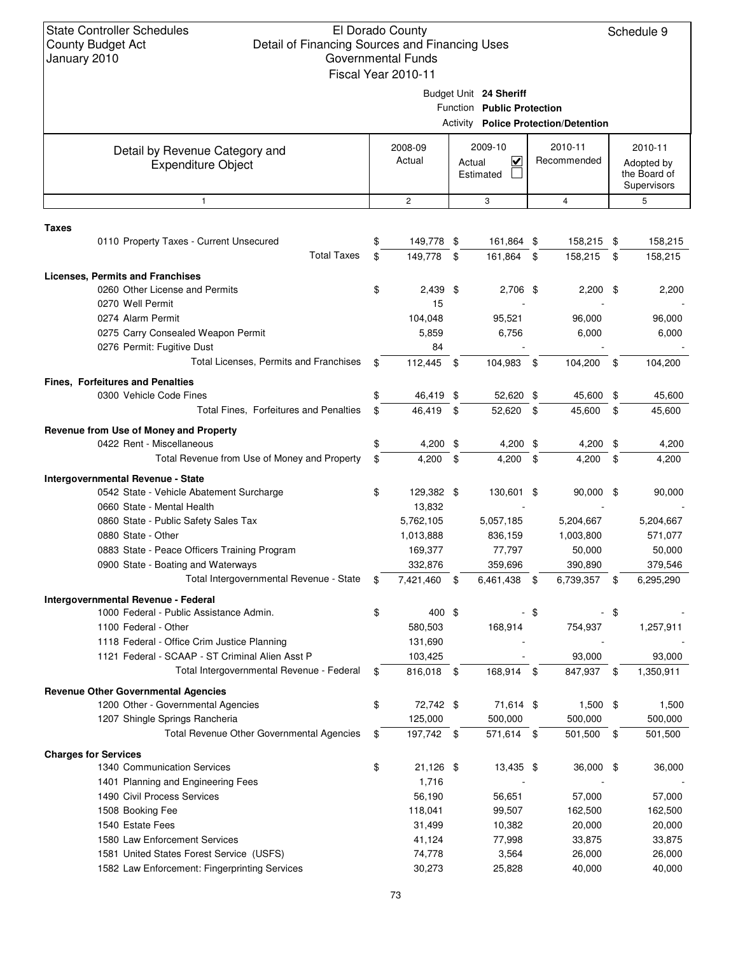| January ZUTU |                                                                           |     | GUVUIIIIIEIII FUIIUS<br>Fiscal Year 2010-11 |                            |     |                                             |                 |
|--------------|---------------------------------------------------------------------------|-----|---------------------------------------------|----------------------------|-----|---------------------------------------------|-----------------|
|              |                                                                           |     |                                             |                            |     |                                             |                 |
|              |                                                                           |     |                                             | Budget Unit 24 Sheriff     |     |                                             |                 |
|              |                                                                           |     |                                             | Function Public Protection |     |                                             |                 |
|              |                                                                           |     |                                             |                            |     | <b>Activity Police Protection/Detention</b> |                 |
|              | Detail by Revenue Category and                                            |     | 2008-09                                     | 2009-10                    |     | 2010-11                                     | 2010-11         |
|              | <b>Expenditure Object</b>                                                 |     | Actual                                      | V<br>Actual                |     | Recommended                                 | Adopted by      |
|              |                                                                           |     |                                             | Estimated                  |     |                                             | the Board of    |
|              |                                                                           |     |                                             |                            |     |                                             | Supervisors     |
|              | $\mathbf{1}$                                                              |     | $\overline{c}$                              | 3                          |     | $\overline{4}$                              | 5               |
| <b>Taxes</b> |                                                                           |     |                                             |                            |     |                                             |                 |
|              | 0110 Property Taxes - Current Unsecured                                   | \$  | 149,778 \$                                  | 161,864 \$                 |     | 158,215                                     | \$<br>158,215   |
|              | <b>Total Taxes</b>                                                        | \$  | 149,778                                     | \$<br>161,864 \$           |     | 158,215                                     | \$<br>158,215   |
|              |                                                                           |     |                                             |                            |     |                                             |                 |
|              | <b>Licenses, Permits and Franchises</b><br>0260 Other License and Permits | \$  | $2,439$ \$                                  | 2,706 \$                   |     | $2,200$ \$                                  | 2,200           |
|              | 0270 Well Permit                                                          |     | 15                                          |                            |     |                                             |                 |
|              | 0274 Alarm Permit                                                         |     | 104,048                                     | 95,521                     |     | 96,000                                      | 96,000          |
|              | 0275 Carry Consealed Weapon Permit                                        |     | 5,859                                       | 6,756                      |     | 6,000                                       | 6,000           |
|              | 0276 Permit: Fugitive Dust                                                |     | 84                                          |                            |     |                                             |                 |
|              | Total Licenses, Permits and Franchises                                    | \$  | 112,445 \$                                  | 104,983                    | -\$ | 104,200                                     | \$<br>104,200   |
|              |                                                                           |     |                                             |                            |     |                                             |                 |
|              | <b>Fines, Forfeitures and Penalties</b>                                   |     |                                             |                            |     |                                             |                 |
|              | 0300 Vehicle Code Fines                                                   | \$  | 46,419 \$                                   | 52,620 \$                  |     | 45,600                                      | \$<br>45,600    |
|              | Total Fines, Forfeitures and Penalties                                    | \$  | 46,419                                      | \$<br>52,620 \$            |     | 45,600                                      | \$<br>45,600    |
|              | Revenue from Use of Money and Property                                    |     |                                             |                            |     |                                             |                 |
|              | 0422 Rent - Miscellaneous                                                 | \$  | 4,200 \$                                    | 4,200 \$                   |     | 4,200                                       | \$<br>4,200     |
|              | Total Revenue from Use of Money and Property                              | \$  | 4,200                                       | \$<br>$4,200$ \$           |     | 4,200                                       | \$<br>4,200     |
|              | Intergovernmental Revenue - State                                         |     |                                             |                            |     |                                             |                 |
|              | 0542 State - Vehicle Abatement Surcharge                                  | \$  | 129,382 \$                                  | 130,601 \$                 |     | 90,000 \$                                   | 90,000          |
|              | 0660 State - Mental Health                                                |     | 13,832                                      |                            |     |                                             |                 |
|              | 0860 State - Public Safety Sales Tax                                      |     | 5,762,105                                   | 5,057,185                  |     | 5,204,667                                   | 5,204,667       |
|              | 0880 State - Other                                                        |     | 1,013,888                                   | 836,159                    |     | 1,003,800                                   | 571,077         |
|              | 0883 State - Peace Officers Training Program                              |     | 169,377                                     | 77,797                     |     | 50,000                                      | 50,000          |
|              | 0900 State - Boating and Waterways                                        |     | 332,876                                     | 359,696                    |     | 390,890                                     | 379,546         |
|              | Total Intergovernmental Revenue - State                                   | \$. | 7,421,460                                   | \$<br>6,461,438            | -\$ | 6,739,357                                   | \$<br>6,295,290 |
|              | Intergovernmental Revenue - Federal                                       |     |                                             |                            |     |                                             |                 |
|              | 1000 Federal - Public Assistance Admin.                                   | \$  | 400 \$                                      |                            | -\$ |                                             | \$              |
|              | 1100 Federal - Other                                                      |     | 580,503                                     | 168,914                    |     | 754,937                                     | 1,257,911       |
|              | 1118 Federal - Office Crim Justice Planning                               |     | 131,690                                     |                            |     |                                             |                 |
|              | 1121 Federal - SCAAP - ST Criminal Alien Asst P                           |     | 103,425                                     |                            |     | 93,000                                      | 93,000          |
|              | Total Intergovernmental Revenue - Federal                                 | \$  | 816,018 \$                                  | 168,914 \$                 |     | 847,937                                     | \$<br>1,350,911 |
|              | <b>Revenue Other Governmental Agencies</b>                                |     |                                             |                            |     |                                             |                 |
|              | 1200 Other - Governmental Agencies                                        | \$  | 72,742 \$                                   | 71,614 \$                  |     | $1,500$ \$                                  | 1,500           |
|              | 1207 Shingle Springs Rancheria                                            |     | 125,000                                     | 500,000                    |     | 500,000                                     | 500,000         |
|              | Total Revenue Other Governmental Agencies                                 | \$  | 197,742 \$                                  | 571,614 \$                 |     | 501,500                                     | \$<br>501,500   |
|              |                                                                           |     |                                             |                            |     |                                             |                 |
|              | <b>Charges for Services</b>                                               |     |                                             |                            |     |                                             |                 |
|              | 1340 Communication Services                                               | \$  | 21,126 \$                                   | 13,435 \$                  |     | $36,000$ \$                                 | 36,000          |
|              | 1401 Planning and Engineering Fees                                        |     | 1,716                                       |                            |     |                                             |                 |
|              | 1490 Civil Process Services                                               |     | 56,190                                      | 56,651                     |     | 57,000                                      | 57,000          |
|              | 1508 Booking Fee                                                          |     | 118,041                                     | 99,507                     |     | 162,500                                     | 162,500         |
|              | 1540 Estate Fees                                                          |     | 31,499                                      | 10,382                     |     | 20,000                                      | 20,000          |
|              | 1580 Law Enforcement Services                                             |     | 41,124                                      | 77,998                     |     | 33,875                                      | 33,875          |
|              | 1581 United States Forest Service (USFS)                                  |     | 74,778                                      | 3,564                      |     | 26,000                                      | 26,000          |
|              | 1582 Law Enforcement: Fingerprinting Services                             |     | 30,273                                      | 25,828                     |     | 40,000                                      | 40,000          |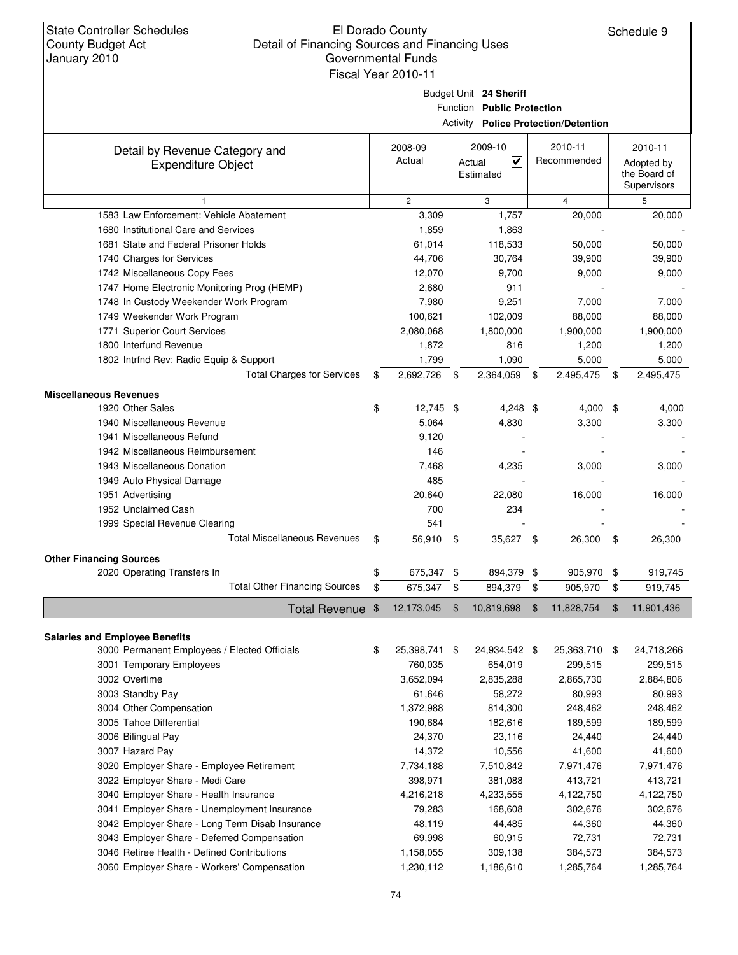Schedule 9

### Budget Unit **24 Sheriff**

Function **Public Protection**

Activity **Police Protection/Detention**

|                                                             |                     |                                                           |                | ACTIVITY <b>POIICE Protection/Detention</b> |                                                      |
|-------------------------------------------------------------|---------------------|-----------------------------------------------------------|----------------|---------------------------------------------|------------------------------------------------------|
| Detail by Revenue Category and<br><b>Expenditure Object</b> | 2008-09<br>Actual   | 2009-10<br>$\overline{\mathsf{v}}$<br>Actual<br>Estimated |                | 2010-11<br>Recommended                      | 2010-11<br>Adopted by<br>the Board of<br>Supervisors |
| $\mathbf{1}$                                                | $\overline{c}$      | 3                                                         |                | $\overline{4}$                              | 5                                                    |
| 1583 Law Enforcement: Vehicle Abatement                     | 3,309               | 1,757                                                     |                | 20,000                                      | 20,000                                               |
| 1680 Institutional Care and Services                        | 1,859               | 1,863                                                     |                |                                             |                                                      |
| 1681 State and Federal Prisoner Holds                       | 61,014              | 118,533                                                   |                | 50,000                                      | 50,000                                               |
| 1740 Charges for Services                                   | 44,706              | 30,764                                                    |                | 39,900                                      | 39,900                                               |
| 1742 Miscellaneous Copy Fees                                | 12,070              | 9,700                                                     |                | 9,000                                       | 9,000                                                |
| 1747 Home Electronic Monitoring Prog (HEMP)                 | 2,680               | 911                                                       |                |                                             |                                                      |
| 1748 In Custody Weekender Work Program                      | 7,980               | 9,251                                                     |                | 7,000                                       | 7,000                                                |
| 1749 Weekender Work Program                                 | 100,621             | 102,009                                                   |                | 88,000                                      | 88,000                                               |
| 1771 Superior Court Services                                | 2,080,068           | 1,800,000                                                 |                | 1,900,000                                   | 1,900,000                                            |
| 1800 Interfund Revenue                                      | 1,872               | 816                                                       |                | 1,200                                       | 1,200                                                |
| 1802 Intrfnd Rev: Radio Equip & Support                     | 1,799               | 1,090                                                     |                | 5,000                                       | 5,000                                                |
| <b>Total Charges for Services</b>                           | \$<br>2,692,726     | \$<br>2,364,059                                           | \$             | 2,495,475                                   | \$<br>2,495,475                                      |
|                                                             |                     |                                                           |                |                                             |                                                      |
| <b>Miscellaneous Revenues</b>                               |                     |                                                           |                | 4,000 \$                                    |                                                      |
| 1920 Other Sales                                            | \$<br>12,745 \$     | $4,248$ \$                                                |                |                                             | 4,000                                                |
| 1940 Miscellaneous Revenue<br>1941 Miscellaneous Refund     | 5,064               | 4,830                                                     |                | 3,300                                       | 3,300                                                |
| 1942 Miscellaneous Reimbursement                            | 9,120               |                                                           |                |                                             |                                                      |
|                                                             | 146                 |                                                           |                |                                             |                                                      |
| 1943 Miscellaneous Donation                                 | 7,468               | 4,235                                                     |                | 3,000                                       | 3,000                                                |
| 1949 Auto Physical Damage                                   | 485                 |                                                           |                |                                             |                                                      |
| 1951 Advertising                                            | 20,640              | 22,080                                                    |                | 16,000                                      | 16,000                                               |
| 1952 Unclaimed Cash                                         | 700                 | 234                                                       |                |                                             |                                                      |
| 1999 Special Revenue Clearing                               | 541                 |                                                           |                |                                             |                                                      |
| <b>Total Miscellaneous Revenues</b>                         | \$<br>56,910 \$     | 35,627 \$                                                 |                | 26,300                                      | \$<br>26,300                                         |
| <b>Other Financing Sources</b>                              |                     |                                                           |                |                                             |                                                      |
| 2020 Operating Transfers In                                 | \$<br>675,347 \$    | 894,379 \$                                                |                | 905,970                                     | \$<br>919,745                                        |
| <b>Total Other Financing Sources</b>                        | \$<br>675,347       | \$<br>894,379                                             | \$             | 905,970                                     | \$<br>919,745                                        |
| Total Revenue \$                                            | 12,173,045          | \$<br>10,819,698                                          | $\mathfrak{F}$ | 11,828,754                                  | \$<br>11,901,436                                     |
| <b>Salaries and Employee Benefits</b>                       |                     |                                                           |                |                                             |                                                      |
| 3000 Permanent Employees / Elected Officials                | \$<br>25,398,741 \$ | 24,934,542 \$                                             |                | 25,363,710 \$                               | 24,718,266                                           |
| 3001 Temporary Employees                                    | 760,035             | 654,019                                                   |                | 299,515                                     | 299,515                                              |
| 3002 Overtime                                               | 3,652,094           | 2,835,288                                                 |                | 2,865,730                                   | 2,884,806                                            |
| 3003 Standby Pay                                            | 61,646              | 58,272                                                    |                | 80,993                                      | 80,993                                               |
| 3004 Other Compensation                                     | 1,372,988           | 814,300                                                   |                | 248,462                                     | 248,462                                              |
| 3005 Tahoe Differential                                     | 190,684             | 182,616                                                   |                | 189,599                                     | 189,599                                              |
| 3006 Bilingual Pay                                          | 24,370              | 23,116                                                    |                | 24,440                                      | 24,440                                               |
| 3007 Hazard Pay                                             | 14,372              | 10,556                                                    |                | 41,600                                      | 41,600                                               |
| 3020 Employer Share - Employee Retirement                   | 7,734,188           | 7,510,842                                                 |                | 7,971,476                                   | 7,971,476                                            |
| 3022 Employer Share - Medi Care                             | 398,971             | 381,088                                                   |                | 413,721                                     | 413,721                                              |
| 3040 Employer Share - Health Insurance                      | 4,216,218           | 4,233,555                                                 |                | 4,122,750                                   | 4,122,750                                            |
| 3041 Employer Share - Unemployment Insurance                | 79,283              | 168,608                                                   |                | 302,676                                     | 302,676                                              |
| 3042 Employer Share - Long Term Disab Insurance             | 48,119              | 44,485                                                    |                | 44,360                                      | 44,360                                               |
| 3043 Employer Share - Deferred Compensation                 | 69,998              | 60,915                                                    |                | 72,731                                      | 72,731                                               |
| 3046 Retiree Health - Defined Contributions                 | 1,158,055           | 309,138                                                   |                | 384,573                                     | 384,573                                              |
| 3060 Employer Share - Workers' Compensation                 | 1,230,112           | 1,186,610                                                 |                | 1,285,764                                   | 1,285,764                                            |
|                                                             |                     |                                                           |                |                                             |                                                      |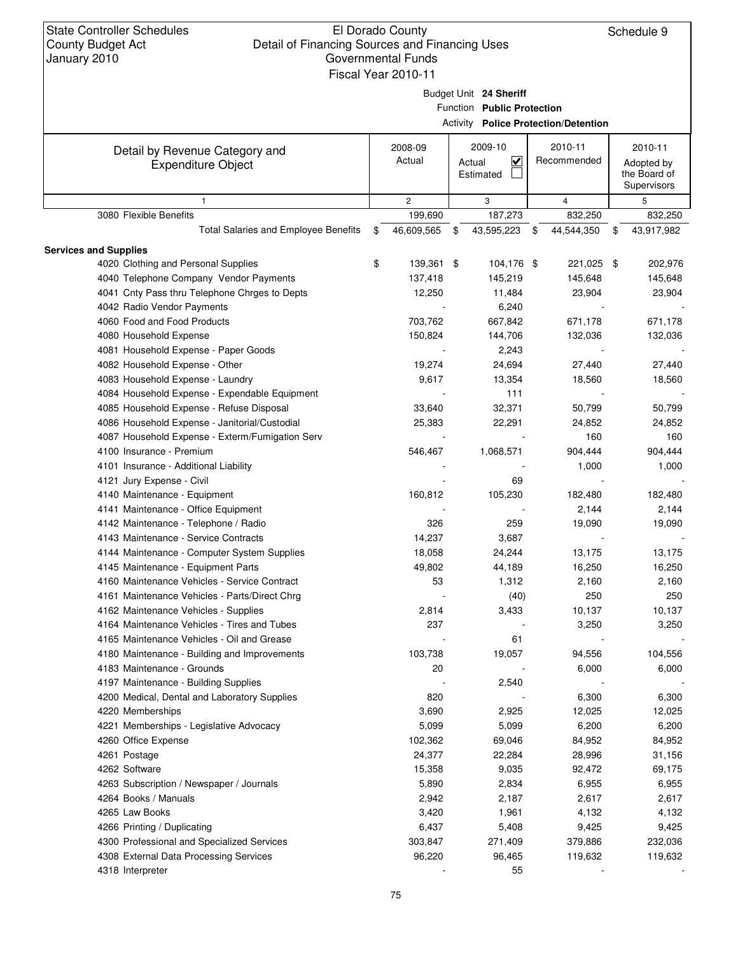State Controller Schedules County Budget Act

## El Dorado County Detail of Financing Sources and Financing Uses Governmental Funds

4086 Household Expense - Janitorial/Custodial 25,383 22,291 24,852 24,852 4087 Household Expense - Exterm/Fumigation Serv - 160 160 160 160 160 4100 Insurance - Premium 546,467 1,068,571 904,444 904,444 4101 Insurance - Additional Liability **1,000** 1,000 1,000 1,000 1,000 1,000 1,000 1,000 1,000 1,000 1,000 1,000 1,000 1,000 1,000 1,000 1,000 1,000 1,000 1,000 1,000 1,000 1,000 1,000 1,000 1,000 1,000 1,000 1,000 1,000 1,

Schedule 9

| January 2010                                                | Governmental Funds<br>Fiscal Year 2010-11 |                                                      |                                                                                    |                |    |                                                      |
|-------------------------------------------------------------|-------------------------------------------|------------------------------------------------------|------------------------------------------------------------------------------------|----------------|----|------------------------------------------------------|
|                                                             |                                           | Budget Unit 24 Sheriff<br>Function Public Protection |                                                                                    |                |    |                                                      |
| Detail by Revenue Category and<br><b>Expenditure Object</b> | 2008-09<br>Actual                         | 2009-10<br>V<br>Actual<br>Estimated                  |                                                                                    | 2010-11        |    | 2010-11<br>Adopted by<br>the Board of<br>Supervisors |
|                                                             | $\overline{2}$                            | 3                                                    |                                                                                    | $\overline{4}$ |    | 5                                                    |
| 3080 Flexible Benefits                                      | 199,690                                   | 187,273                                              |                                                                                    | 832,250        |    | 832,250                                              |
| Total Salaries and Employee Benefits                        | \$<br>46,609,565                          | \$<br>43,595,223                                     | \$                                                                                 | 44,544,350     | \$ | 43,917,982                                           |
| <b>Services and Supplies</b>                                |                                           |                                                      |                                                                                    |                |    |                                                      |
| 4020 Clothing and Personal Supplies                         | \$<br>139,361 \$                          | 104,176 \$                                           |                                                                                    |                |    | 202,976                                              |
| 4040 Telephone Company Vendor Payments                      | 137,418                                   | 145,219                                              |                                                                                    | 145,648        |    | 145,648                                              |
| 4041 Cnty Pass thru Telephone Chrges to Depts               | 12,250                                    | 11,484                                               |                                                                                    | 23,904         |    | 23,904                                               |
| 4042 Radio Vendor Payments                                  |                                           | 6,240                                                |                                                                                    |                |    |                                                      |
| 4060 Food and Food Products                                 | 703,762                                   | 667,842                                              |                                                                                    | 671,178        |    | 671,178                                              |
| 4080 Household Expense                                      | 150,824                                   | 144,706                                              |                                                                                    | 132,036        |    | 132,036                                              |
| 4081 Household Expense - Paper Goods                        |                                           | 2,243                                                |                                                                                    |                |    |                                                      |
| 4082 Household Expense - Other                              | 19,274                                    | 24,694                                               |                                                                                    | 27,440         |    | 27,440                                               |
| 4083 Household Expense - Laundry                            | 9,617                                     | 13,354                                               |                                                                                    | 18,560         |    | 18,560                                               |
| 4084 Household Expense - Expendable Equipment               |                                           | 111                                                  | <b>Activity Police Protection/Detention</b><br>Recommended<br>221,025 \$<br>50.799 |                |    |                                                      |
| 4085 Household Expense - Refuse Disposal                    | 33.640                                    | 32,371                                               |                                                                                    |                |    | 50,799                                               |

| 4140 Maintenance - Equipment                  | 160,812 | 105,230 | 182,480 | 182,480 |
|-----------------------------------------------|---------|---------|---------|---------|
| 4141 Maintenance - Office Equipment           |         |         | 2,144   | 2,144   |
| 4142 Maintenance - Telephone / Radio          | 326     | 259     | 19,090  | 19,090  |
| 4143 Maintenance - Service Contracts          | 14,237  | 3,687   |         |         |
| 4144 Maintenance - Computer System Supplies   | 18,058  | 24,244  | 13,175  | 13,175  |
| 4145 Maintenance - Equipment Parts            | 49,802  | 44,189  | 16,250  | 16,250  |
| 4160 Maintenance Vehicles - Service Contract  | 53      | 1,312   | 2,160   | 2,160   |
| 4161 Maintenance Vehicles - Parts/Direct Chrg |         | (40)    | 250     | 250     |
| 4162 Maintenance Vehicles - Supplies          | 2,814   | 3,433   | 10,137  | 10,137  |
| 4164 Maintenance Vehicles - Tires and Tubes   | 237     |         | 3,250   | 3,250   |
| 4165 Maintenance Vehicles - Oil and Grease    |         | 61      |         |         |
| 4180 Maintenance - Building and Improvements  | 103,738 | 19,057  | 94,556  | 104,556 |
| 4183 Maintenance - Grounds                    | 20      |         | 6,000   | 6,000   |
| 4197 Maintenance - Building Supplies          |         | 2,540   |         |         |
| 4200 Medical, Dental and Laboratory Supplies  | 820     |         | 6,300   | 6,300   |
| 4220 Memberships                              | 3,690   | 2,925   | 12,025  | 12,025  |
| 4221 Memberships - Legislative Advocacy       | 5,099   | 5,099   | 6,200   | 6,200   |
| 4260 Office Expense                           | 102,362 | 69,046  | 84,952  | 84,952  |
| 4261 Postage                                  | 24,377  | 22,284  | 28,996  | 31,156  |
| 4262 Software                                 | 15,358  | 9,035   | 92,472  | 69,175  |
| 4263 Subscription / Newspaper / Journals      | 5,890   | 2,834   | 6,955   | 6,955   |
| 4264 Books / Manuals                          | 2,942   | 2,187   | 2,617   | 2,617   |
| 4265 Law Books                                | 3,420   | 1,961   | 4,132   | 4,132   |
| 4266 Printing / Duplicating                   | 6,437   | 5,408   | 9,425   | 9,425   |
| 4300 Professional and Specialized Services    | 303,847 | 271,409 | 379,886 | 232,036 |
| 4308 External Data Processing Services        | 96,220  | 96,465  | 119,632 | 119,632 |
| 4318 Interpreter                              |         | 55      |         |         |

4121 Jury Expense - Civil - 69 - -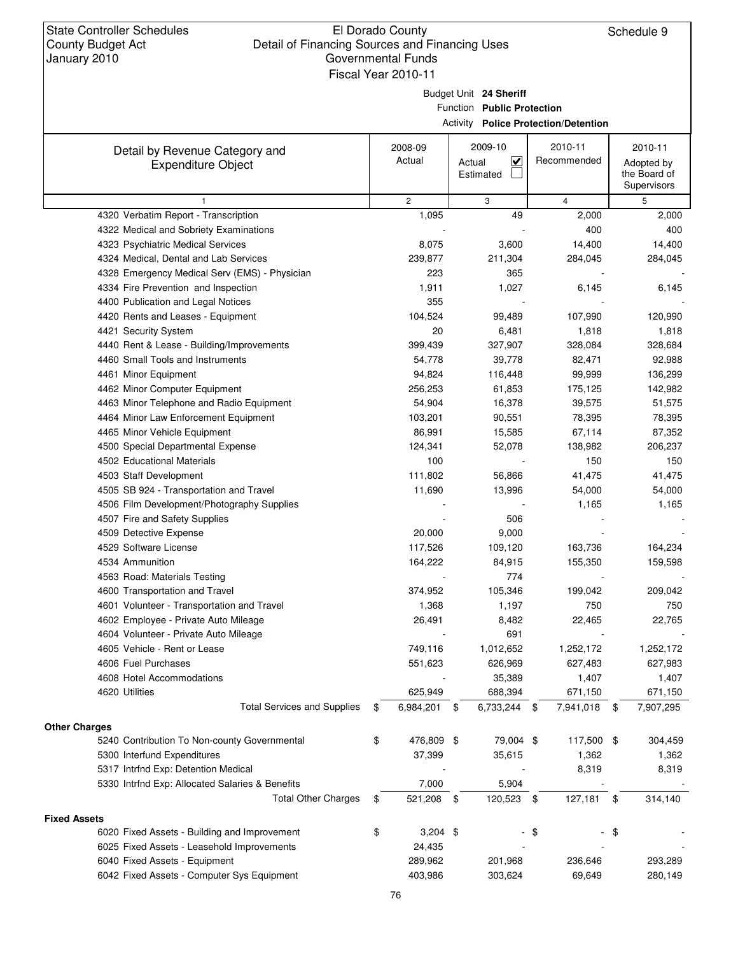Budget Unit **24 Sheriff**

Function **Public Protection**

Activity **Police Protection/Detention**

|                                                 | 2008-09          | 2009-10                           | 2010-11     | 2010-11         |
|-------------------------------------------------|------------------|-----------------------------------|-------------|-----------------|
| Detail by Revenue Category and                  | Actual           | $\overline{\mathbf{v}}$<br>Actual | Recommended | Adopted by      |
| <b>Expenditure Object</b>                       |                  | Estimated                         |             | the Board of    |
|                                                 |                  |                                   |             | Supervisors     |
|                                                 | $\overline{c}$   | 3                                 | 4           | 5               |
| 4320 Verbatim Report - Transcription            | 1,095            | 49                                | 2,000       | 2,000           |
| 4322 Medical and Sobriety Examinations          |                  |                                   | 400         | 400             |
| 4323 Psychiatric Medical Services               | 8,075            | 3,600                             | 14,400      | 14,400          |
| 4324 Medical, Dental and Lab Services           | 239,877          | 211,304                           | 284,045     | 284,045         |
| 4328 Emergency Medical Serv (EMS) - Physician   | 223              | 365                               |             |                 |
| 4334 Fire Prevention and Inspection             | 1,911            | 1,027                             | 6,145       | 6,145           |
| 4400 Publication and Legal Notices              | 355              |                                   |             |                 |
| 4420 Rents and Leases - Equipment               | 104,524          | 99,489                            | 107,990     | 120,990         |
| 4421 Security System                            | 20               | 6,481                             | 1,818       | 1,818           |
| 4440 Rent & Lease - Building/Improvements       | 399,439          | 327,907                           | 328,084     | 328,684         |
| 4460 Small Tools and Instruments                | 54,778           | 39,778                            | 82,471      | 92,988          |
| 4461 Minor Equipment                            | 94,824           | 116,448                           | 99,999      | 136,299         |
| 4462 Minor Computer Equipment                   | 256,253          | 61,853                            | 175,125     | 142,982         |
| 4463 Minor Telephone and Radio Equipment        | 54,904           | 16,378                            | 39,575      | 51,575          |
| 4464 Minor Law Enforcement Equipment            | 103,201          | 90,551                            | 78,395      | 78,395          |
| 4465 Minor Vehicle Equipment                    | 86,991           | 15,585                            | 67,114      | 87,352          |
| 4500 Special Departmental Expense               | 124,341          | 52,078                            | 138,982     | 206,237         |
| 4502 Educational Materials                      | 100              |                                   | 150         | 150             |
| 4503 Staff Development                          | 111,802          | 56,866                            | 41,475      | 41,475          |
| 4505 SB 924 - Transportation and Travel         | 11,690           | 13,996                            | 54,000      | 54,000          |
| 4506 Film Development/Photography Supplies      |                  |                                   | 1,165       | 1,165           |
| 4507 Fire and Safety Supplies                   |                  | 506                               |             |                 |
| 4509 Detective Expense                          | 20,000           | 9,000                             |             |                 |
| 4529 Software License                           | 117,526          | 109,120                           | 163,736     | 164,234         |
| 4534 Ammunition                                 | 164,222          | 84,915                            | 155,350     | 159,598         |
| 4563 Road: Materials Testing                    |                  | 774                               |             |                 |
| 4600 Transportation and Travel                  | 374,952          | 105,346                           | 199,042     | 209,042         |
| 4601 Volunteer - Transportation and Travel      | 1,368            | 1,197                             | 750         | 750             |
| 4602 Employee - Private Auto Mileage            | 26,491           | 8,482                             | 22,465      | 22,765          |
| 4604 Volunteer - Private Auto Mileage           |                  | 691                               |             |                 |
| 4605 Vehicle - Rent or Lease                    | 749,116          | 1,012,652                         | 1,252,172   | 1,252,172       |
| 4606 Fuel Purchases                             | 551,623          | 626,969                           | 627,483     | 627,983         |
| 4608 Hotel Accommodations                       |                  | 35,389                            | 1,407       | 1,407           |
| 4620 Utilities                                  | 625,949          | 688,394                           | 671,150     | 671,150         |
| <b>Total Services and Supplies</b>              | 6,984,201<br>\$  | 6,733,244 \$<br>\$                | 7,941,018   | 7,907,295<br>\$ |
| <b>Other Charges</b>                            |                  |                                   |             |                 |
| 5240 Contribution To Non-county Governmental    | 476,809 \$<br>\$ | 79,004 \$                         | 117,500 \$  | 304,459         |
| 5300 Interfund Expenditures                     | 37,399           | 35,615                            | 1,362       | 1,362           |
| 5317 Intrfnd Exp: Detention Medical             |                  |                                   | 8,319       | 8,319           |
| 5330 Intrfnd Exp: Allocated Salaries & Benefits | 7,000            | 5,904                             |             |                 |
| <b>Total Other Charges</b>                      | 521,208 \$<br>\$ | 120,523 \$                        | 127,181     | 314,140<br>\$   |
| <b>Fixed Assets</b>                             |                  |                                   |             |                 |
| 6020 Fixed Assets - Building and Improvement    | $3,204$ \$<br>\$ |                                   | -\$         | \$              |
| 6025 Fixed Assets - Leasehold Improvements      | 24,435           |                                   |             |                 |
| 6040 Fixed Assets - Equipment                   | 289,962          | 201,968                           | 236,646     | 293,289         |
| 6042 Fixed Assets - Computer Sys Equipment      | 403,986          | 303,624                           | 69,649      | 280,149         |
|                                                 |                  |                                   |             |                 |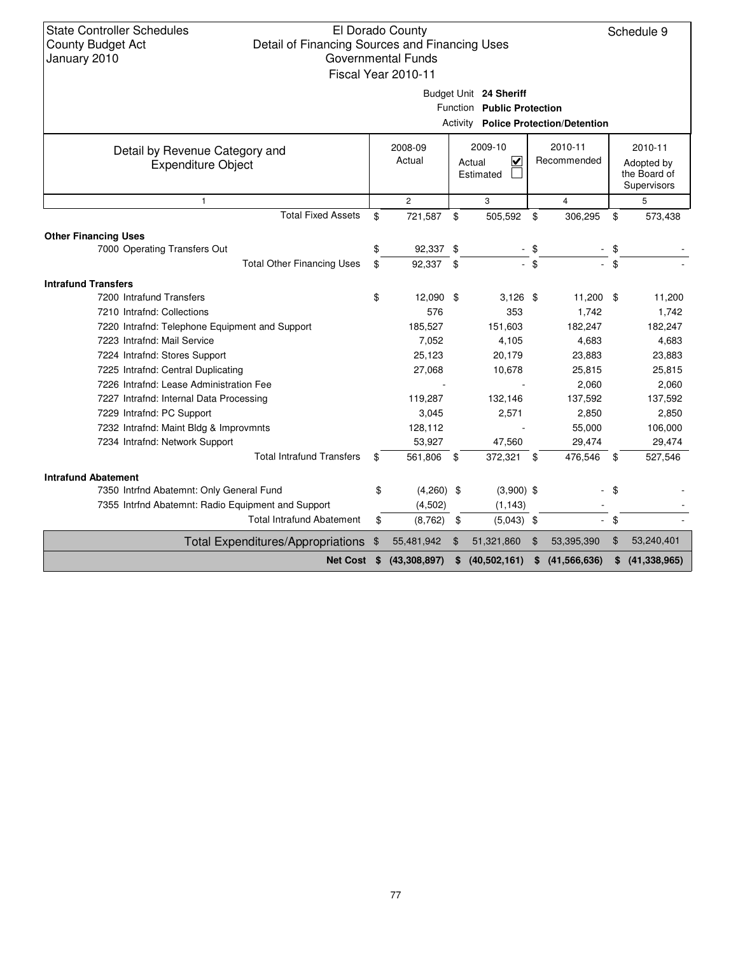|                                                             | Fiscal Year 2010-11 |                |                                                      |                                             |                                                      |
|-------------------------------------------------------------|---------------------|----------------|------------------------------------------------------|---------------------------------------------|------------------------------------------------------|
|                                                             |                     |                | Budget Unit 24 Sheriff<br>Function Public Protection | <b>Activity Police Protection/Detention</b> |                                                      |
| Detail by Revenue Category and<br><b>Expenditure Object</b> | 2008-09<br>Actual   |                | 2009-10<br>⊽<br>Actual<br>Estimated                  | 2010-11<br>Recommended                      | 2010-11<br>Adopted by<br>the Board of<br>Supervisors |
| $\mathbf{1}$                                                | $\overline{2}$      |                | 3                                                    | $\overline{4}$                              | 5                                                    |
| <b>Total Fixed Assets</b>                                   | \$<br>721,587       | $\mathfrak{L}$ | 505,592 \$                                           | 306,295                                     | \$<br>573,438                                        |
| <b>Other Financing Uses</b>                                 |                     |                |                                                      |                                             |                                                      |
| 7000 Operating Transfers Out                                | \$<br>92,337 \$     |                |                                                      |                                             |                                                      |
| <b>Total Other Financing Uses</b>                           | \$<br>92,337 \$     |                |                                                      | \$                                          | \$                                                   |
| <b>Intrafund Transfers</b>                                  |                     |                |                                                      |                                             |                                                      |
| 7200 Intrafund Transfers                                    | \$<br>12,090 \$     |                | $3,126$ \$                                           | $11,200$ \$                                 | 11,200                                               |
| 7210 Intrafnd: Collections                                  | 576                 |                | 353                                                  | 1,742                                       | 1,742                                                |
| 7220 Intrafnd: Telephone Equipment and Support              | 185,527             |                | 151,603                                              | 182,247                                     | 182,247                                              |
| 7223 Intrafnd: Mail Service                                 | 7,052               |                | 4,105                                                | 4,683                                       | 4,683                                                |
| 7224 Intrafnd: Stores Support                               | 25,123              |                | 20,179                                               | 23,883                                      | 23,883                                               |
| 7225 Intrafnd: Central Duplicating                          | 27,068              |                | 10,678                                               | 25,815                                      | 25,815                                               |
| 7226 Intrafnd: Lease Administration Fee                     |                     |                |                                                      | 2,060                                       | 2,060                                                |
| 7227 Intrafnd: Internal Data Processing                     | 119,287             |                | 132,146                                              | 137,592                                     | 137,592                                              |
| 7229 Intrafnd: PC Support                                   | 3,045               |                | 2,571                                                | 2,850                                       | 2,850                                                |
| 7232 Intrafnd: Maint Bldg & Improvmnts                      | 128,112             |                |                                                      | 55,000                                      | 106,000                                              |
| 7234 Intrafnd: Network Support                              | 53,927              |                | 47,560                                               | 29,474                                      | 29,474                                               |
| <b>Total Intrafund Transfers</b>                            | \$<br>561,806 \$    |                | 372,321 \$                                           | 476,546                                     | \$<br>527,546                                        |
| <b>Intrafund Abatement</b>                                  |                     |                |                                                      |                                             |                                                      |
| 7350 Intrfnd Abatemnt: Only General Fund                    | \$<br>$(4,260)$ \$  |                | $(3,900)$ \$                                         |                                             | \$                                                   |
| 7355 Intrfnd Abatemnt: Radio Equipment and Support          | (4,502)             |                | (1, 143)                                             |                                             |                                                      |
| <b>Total Intrafund Abatement</b>                            | \$<br>(8, 762)      | \$             | $(5,043)$ \$                                         | $\mathcal{L}^{\pm}$                         | \$                                                   |
| <b>Total Expenditures/Appropriations</b>                    | \$<br>55,481,942    | $\mathfrak{F}$ | 51,321,860                                           | \$<br>53,395,390                            | \$<br>53,240,401                                     |
|                                                             |                     |                |                                                      |                                             |                                                      |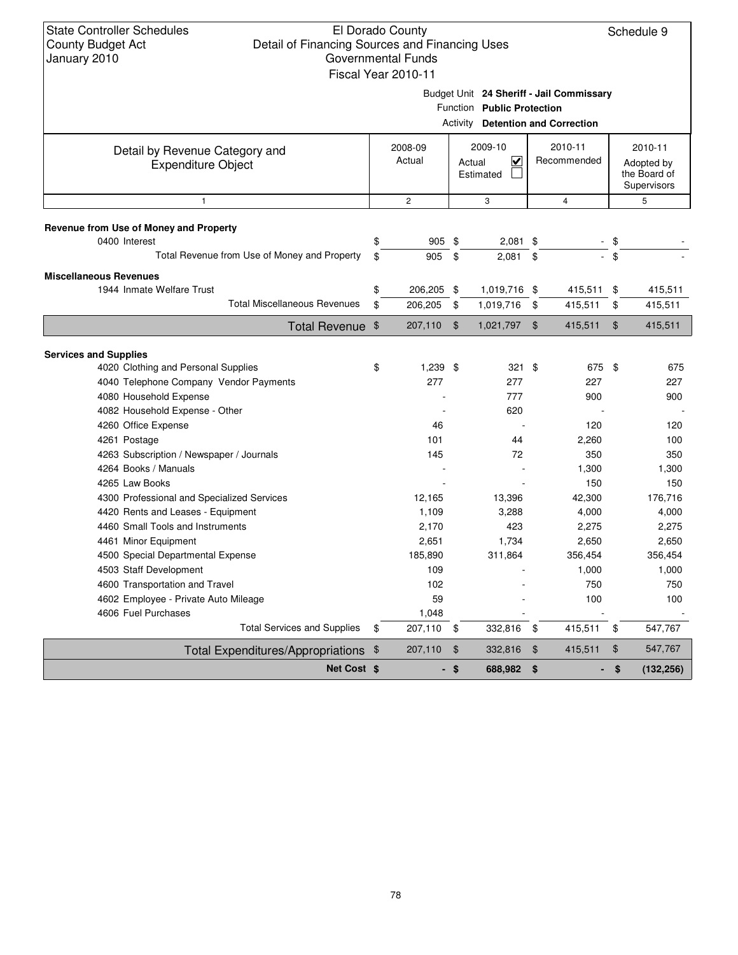Schedule 9

| Budget Unit 24 Sheriff - Jail Commissary |  |
|------------------------------------------|--|

|                                                                     |                   |                | <b>Activity Detention and Correction</b>                  |                |                        |                |                                                      |
|---------------------------------------------------------------------|-------------------|----------------|-----------------------------------------------------------|----------------|------------------------|----------------|------------------------------------------------------|
| Detail by Revenue Category and<br><b>Expenditure Object</b>         | 2008-09<br>Actual |                | 2009-10<br>$\overline{\mathbf{v}}$<br>Actual<br>Estimated |                | 2010-11<br>Recommended |                | 2010-11<br>Adopted by<br>the Board of<br>Supervisors |
| $\mathbf{1}$                                                        | $\overline{2}$    |                | 3                                                         |                | $\overline{4}$         |                | 5                                                    |
| Revenue from Use of Money and Property                              |                   |                |                                                           |                |                        |                |                                                      |
| 0400 Interest                                                       | \$<br>905 \$      |                | 2,081                                                     | \$             |                        | \$             |                                                      |
| Total Revenue from Use of Money and Property                        | \$<br>905         | \$             | 2,081                                                     | \$             |                        | $-$ \$         |                                                      |
| <b>Miscellaneous Revenues</b>                                       |                   |                |                                                           |                |                        |                |                                                      |
| 1944 Inmate Welfare Trust                                           | \$<br>206,205 \$  |                | 1,019,716 \$                                              |                | 415,511                | \$             | 415,511                                              |
| <b>Total Miscellaneous Revenues</b>                                 | \$<br>206,205     | \$             | 1,019,716                                                 | \$             | 415,511                | \$             | 415,511                                              |
| Total Revenue \$                                                    | 207,110           | \$             | 1,021,797 \$                                              |                | 415,511                | $\mathfrak{F}$ | 415,511                                              |
|                                                                     |                   |                |                                                           |                |                        |                |                                                      |
| <b>Services and Supplies</b><br>4020 Clothing and Personal Supplies | \$<br>$1,239$ \$  |                | 321 \$                                                    |                | 675 \$                 |                | 675                                                  |
| 4040 Telephone Company Vendor Payments                              | 277               |                | 277                                                       |                | 227                    |                | 227                                                  |
| 4080 Household Expense                                              |                   |                | 777                                                       |                | 900                    |                | 900                                                  |
| 4082 Household Expense - Other                                      |                   |                | 620                                                       |                |                        |                |                                                      |
| 4260 Office Expense                                                 | 46                |                |                                                           |                | 120                    |                | 120                                                  |
| 4261 Postage                                                        | 101               |                | 44                                                        |                | 2,260                  |                | 100                                                  |
| 4263 Subscription / Newspaper / Journals                            | 145               |                | 72                                                        |                | 350                    |                | 350                                                  |
| 4264 Books / Manuals                                                |                   |                |                                                           |                | 1,300                  |                | 1,300                                                |
| 4265 Law Books                                                      |                   |                |                                                           |                | 150                    |                | 150                                                  |
| 4300 Professional and Specialized Services                          | 12,165            |                | 13,396                                                    |                | 42,300                 |                | 176,716                                              |
| 4420 Rents and Leases - Equipment                                   | 1,109             |                | 3,288                                                     |                | 4,000                  |                | 4,000                                                |
| 4460 Small Tools and Instruments                                    | 2,170             |                | 423                                                       |                | 2,275                  |                | 2,275                                                |
| 4461 Minor Equipment                                                | 2,651             |                | 1,734                                                     |                | 2,650                  |                | 2,650                                                |
| 4500 Special Departmental Expense                                   | 185,890           |                | 311,864                                                   |                | 356,454                |                | 356,454                                              |
| 4503 Staff Development                                              | 109               |                |                                                           |                | 1,000                  |                | 1,000                                                |
| 4600 Transportation and Travel                                      | 102               |                |                                                           |                | 750                    |                | 750                                                  |
| 4602 Employee - Private Auto Mileage                                | 59                |                |                                                           |                | 100                    |                | 100                                                  |
| 4606 Fuel Purchases                                                 | 1,048             |                |                                                           |                |                        |                |                                                      |
| <b>Total Services and Supplies</b>                                  | \$<br>207,110     | - \$           | 332,816                                                   | \$             | 415,511                | \$             | 547,767                                              |
| Total Expenditures/Appropriations \$                                | 207,110           | $\mathfrak{F}$ | 332,816                                                   | $\mathfrak{F}$ | 415,511                | \$             | 547,767                                              |
| Net Cost \$                                                         |                   | - \$           | 688,982                                                   | \$             |                        | \$             | (132, 256)                                           |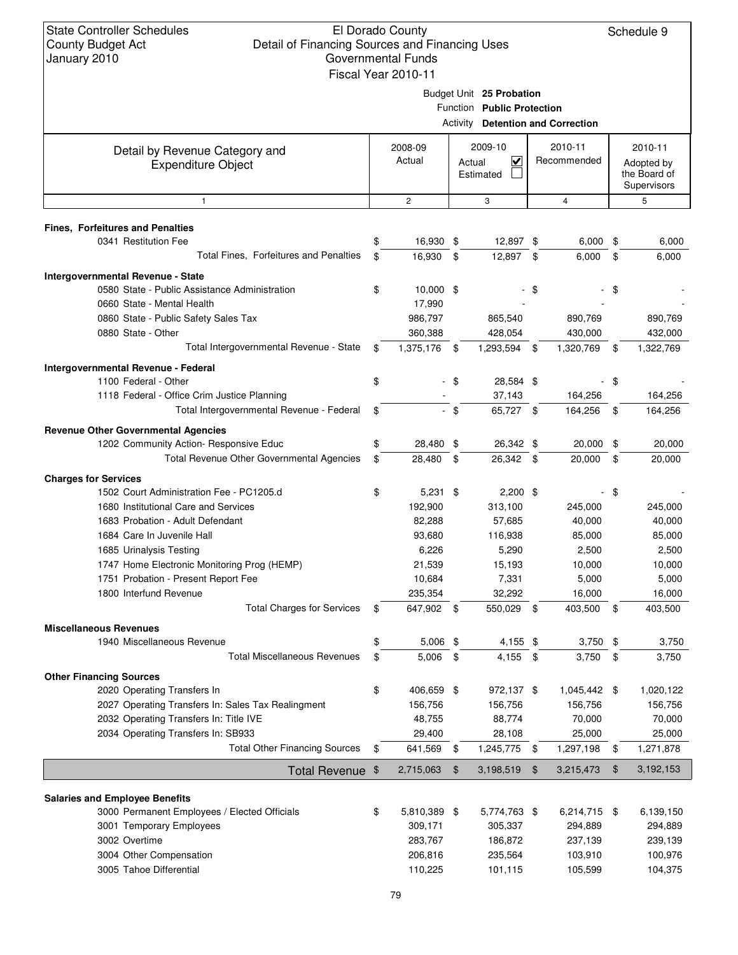| Budget Unit 25 Probation |  |
|--------------------------|--|
|--------------------------|--|

|  | Function Public Protection |  |
|--|----------------------------|--|
|  |                            |  |

|                                                             |                    |                | <b>Activity Detention and Correction</b>                  |                        |      |                                                      |
|-------------------------------------------------------------|--------------------|----------------|-----------------------------------------------------------|------------------------|------|------------------------------------------------------|
| Detail by Revenue Category and<br><b>Expenditure Object</b> | 2008-09<br>Actual  |                | 2009-10<br>$\overline{\mathbf{v}}$<br>Actual<br>Estimated | 2010-11<br>Recommended |      | 2010-11<br>Adopted by<br>the Board of<br>Supervisors |
| $\mathbf{1}$                                                | $\overline{c}$     |                | 3                                                         | $\overline{4}$         |      | 5                                                    |
| <b>Fines, Forfeitures and Penalties</b>                     |                    |                |                                                           |                        |      |                                                      |
| 0341 Restitution Fee                                        | 16,930 \$          |                | 12,897 \$                                                 | 6,000                  | \$   | 6,000                                                |
| Total Fines, Forfeitures and Penalties                      | \$<br>16,930       | - \$           | 12,897 \$                                                 | 6,000                  | \$   | 6,000                                                |
| Intergovernmental Revenue - State                           |                    |                |                                                           |                        |      |                                                      |
| 0580 State - Public Assistance Administration               | \$<br>$10,000$ \$  |                |                                                           | \$                     | \$   |                                                      |
| 0660 State - Mental Health                                  | 17,990             |                |                                                           |                        |      |                                                      |
| 0860 State - Public Safety Sales Tax                        | 986,797            |                | 865,540                                                   | 890,769                |      | 890,769                                              |
| 0880 State - Other                                          | 360,388            |                | 428,054                                                   | 430,000                |      | 432,000                                              |
| Total Intergovernmental Revenue - State                     | \$<br>1,375,176    | - \$           | 1,293,594 \$                                              | 1,320,769              | \$   | 1,322,769                                            |
| Intergovernmental Revenue - Federal                         |                    |                |                                                           |                        |      |                                                      |
| 1100 Federal - Other                                        | \$                 | -\$            | 28,584 \$                                                 |                        | \$   |                                                      |
| 1118 Federal - Office Crim Justice Planning                 |                    |                | 37,143                                                    | 164,256                |      | 164,256                                              |
| Total Intergovernmental Revenue - Federal                   | \$                 | - \$           | 65,727 \$                                                 | 164,256                | \$   | 164,256                                              |
|                                                             |                    |                |                                                           |                        |      |                                                      |
| <b>Revenue Other Governmental Agencies</b>                  | 28,480             |                | 26,342 \$                                                 | 20,000                 |      | 20,000                                               |
| 1202 Community Action- Responsive Educ                      | \$                 | \$             |                                                           |                        | \$   |                                                      |
| Total Revenue Other Governmental Agencies                   | \$<br>28,480       | \$             | 26,342 \$                                                 | 20,000                 | \$   | 20,000                                               |
| <b>Charges for Services</b>                                 |                    |                |                                                           |                        |      |                                                      |
| 1502 Court Administration Fee - PC1205.d                    | \$<br>$5,231$ \$   |                | $2,200$ \$                                                |                        | \$   |                                                      |
| 1680 Institutional Care and Services                        | 192,900            |                | 313,100                                                   | 245,000                |      | 245,000                                              |
| 1683 Probation - Adult Defendant                            | 82,288             |                | 57,685                                                    | 40,000                 |      | 40,000                                               |
| 1684 Care In Juvenile Hall                                  | 93,680             |                | 116,938                                                   | 85,000                 |      | 85,000                                               |
| 1685 Urinalysis Testing                                     | 6,226              |                | 5,290                                                     | 2,500                  |      | 2,500                                                |
| 1747 Home Electronic Monitoring Prog (HEMP)                 | 21,539             |                | 15,193                                                    | 10,000                 |      | 10,000                                               |
| 1751 Probation - Present Report Fee                         | 10,684             |                | 7,331                                                     | 5,000                  |      | 5,000                                                |
| 1800 Interfund Revenue                                      | 235,354            |                | 32,292                                                    | 16,000                 |      | 16,000                                               |
| <b>Total Charges for Services</b>                           | \$<br>647,902 \$   |                | 550,029 \$                                                | 403,500                | \$   | 403,500                                              |
| <b>Miscellaneous Revenues</b>                               |                    |                |                                                           |                        |      |                                                      |
| 1940 Miscellaneous Revenue                                  | \$<br>$5,006$ \$   |                | 4,155 \$                                                  | $3,750$ \$             |      | 3,750                                                |
| <b>Total Miscellaneous Revenues</b>                         | \$<br>5,006        | $\frac{1}{2}$  | 4,155 \$                                                  | 3,750                  | - \$ | 3,750                                                |
| <b>Other Financing Sources</b>                              |                    |                |                                                           |                        |      |                                                      |
| 2020 Operating Transfers In                                 | \$<br>406,659 \$   |                | 972,137 \$                                                | 1,045,442 \$           |      | 1,020,122                                            |
| 2027 Operating Transfers In: Sales Tax Realingment          | 156,756            |                | 156,756                                                   | 156,756                |      | 156,756                                              |
| 2032 Operating Transfers In: Title IVE                      | 48,755             |                | 88,774                                                    | 70,000                 |      | 70,000                                               |
| 2034 Operating Transfers In: SB933                          | 29,400             |                | 28,108                                                    | 25,000                 |      | 25,000                                               |
| <b>Total Other Financing Sources</b>                        | \$<br>641,569      | \$             | 1,245,775 \$                                              | 1,297,198              | \$   | 1,271,878                                            |
| Total Revenue \$                                            | 2,715,063          | $\mathfrak{F}$ | 3,198,519                                                 | \$<br>3,215,473        | \$   | 3,192,153                                            |
|                                                             |                    |                |                                                           |                        |      |                                                      |
| <b>Salaries and Employee Benefits</b>                       |                    |                |                                                           |                        |      |                                                      |
| 3000 Permanent Employees / Elected Officials                | \$<br>5,810,389 \$ |                | 5,774,763 \$                                              | 6,214,715 \$           |      | 6,139,150                                            |
| 3001 Temporary Employees                                    | 309,171            |                | 305,337                                                   | 294,889                |      | 294,889                                              |
| 3002 Overtime                                               | 283,767            |                | 186,872                                                   | 237,139                |      | 239,139                                              |
| 3004 Other Compensation                                     | 206,816            |                | 235,564                                                   | 103,910                |      | 100,976                                              |
| 3005 Tahoe Differential                                     | 110,225            |                | 101,115                                                   | 105,599                |      | 104,375                                              |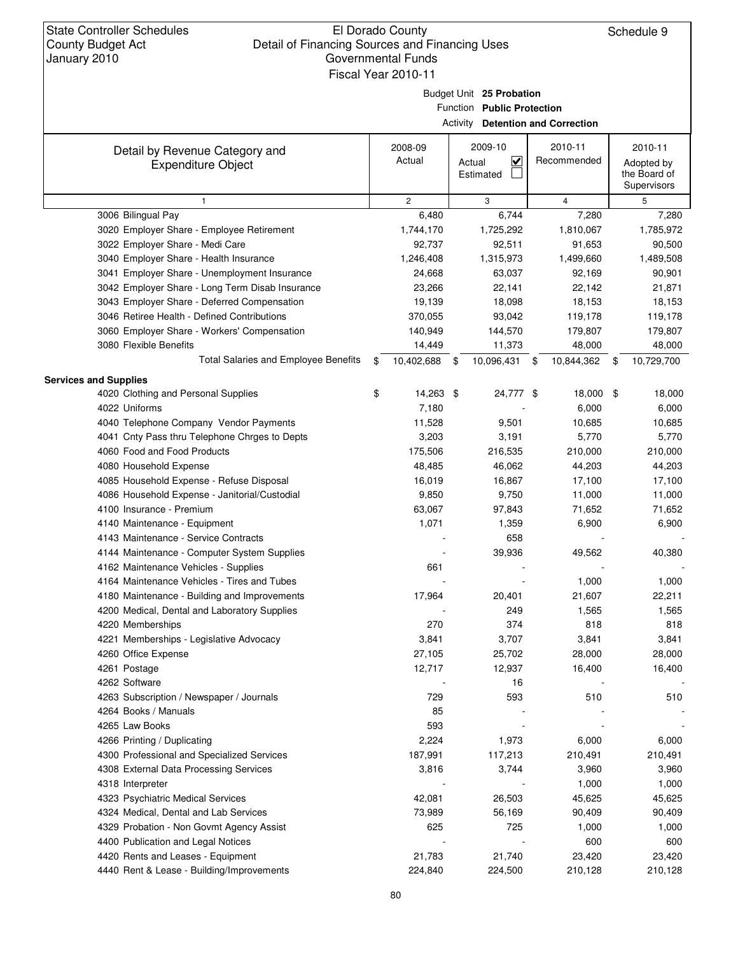Schedule 9

Budget Unit **25 Probation**

Function **Public Protection**

Activity **Detention and Correction**

|                                                             |                   |      |                                                           | <b>Peterition and Correction</b> |                                       |
|-------------------------------------------------------------|-------------------|------|-----------------------------------------------------------|----------------------------------|---------------------------------------|
| Detail by Revenue Category and<br><b>Expenditure Object</b> | 2008-09<br>Actual |      | 2009-10<br>$\overline{\mathbf{v}}$<br>Actual<br>Estimated | 2010-11<br>Recommended           | 2010-11<br>Adopted by<br>the Board of |
|                                                             |                   |      |                                                           |                                  | Supervisors                           |
| $\mathbf{1}$                                                | $\overline{2}$    |      | 3                                                         | 4                                | 5                                     |
| 3006 Bilingual Pay                                          | 6,480             |      | 6,744                                                     | 7,280                            | 7,280                                 |
| 3020 Employer Share - Employee Retirement                   | 1,744,170         |      | 1,725,292                                                 | 1,810,067                        | 1,785,972                             |
| 3022 Employer Share - Medi Care                             | 92,737            |      | 92,511                                                    | 91,653                           | 90,500                                |
| 3040 Employer Share - Health Insurance                      | 1,246,408         |      | 1,315,973                                                 | 1,499,660                        | 1,489,508                             |
| 3041 Employer Share - Unemployment Insurance                | 24,668            |      | 63,037                                                    | 92,169                           | 90,901                                |
| 3042 Employer Share - Long Term Disab Insurance             | 23,266            |      | 22,141                                                    | 22,142                           | 21,871                                |
| 3043 Employer Share - Deferred Compensation                 | 19,139            |      | 18,098                                                    | 18,153                           | 18,153                                |
| 3046 Retiree Health - Defined Contributions                 | 370,055           |      | 93,042                                                    | 119,178                          | 119,178                               |
| 3060 Employer Share - Workers' Compensation                 | 140,949           |      | 144,570                                                   | 179,807                          | 179,807                               |
| 3080 Flexible Benefits                                      | 14,449            |      | 11,373                                                    | 48,000                           | 48,000                                |
| <b>Total Salaries and Employee Benefits</b>                 | \$<br>10,402,688  | - \$ | 10,096,431                                                | \$<br>10,844,362                 | \$<br>10,729,700                      |
| <b>Services and Supplies</b>                                |                   |      |                                                           |                                  |                                       |
| 4020 Clothing and Personal Supplies                         | \$<br>14,263 \$   |      | 24,777 \$                                                 | 18,000                           | \$<br>18,000                          |
| 4022 Uniforms                                               | 7,180             |      |                                                           | 6,000                            | 6,000                                 |
| 4040 Telephone Company Vendor Payments                      | 11,528            |      | 9,501                                                     | 10,685                           | 10,685                                |
| 4041 Cnty Pass thru Telephone Chrges to Depts               | 3,203             |      | 3,191                                                     | 5,770                            | 5,770                                 |
| 4060 Food and Food Products                                 | 175,506           |      | 216,535                                                   | 210,000                          | 210,000                               |
| 4080 Household Expense                                      | 48,485            |      | 46,062                                                    | 44,203                           | 44,203                                |
| 4085 Household Expense - Refuse Disposal                    | 16,019            |      | 16,867                                                    | 17,100                           | 17,100                                |
| 4086 Household Expense - Janitorial/Custodial               | 9,850             |      | 9,750                                                     | 11,000                           | 11,000                                |
| 4100 Insurance - Premium                                    | 63,067            |      | 97,843                                                    | 71,652                           | 71,652                                |
| 4140 Maintenance - Equipment                                | 1,071             |      | 1,359                                                     | 6,900                            | 6,900                                 |
| 4143 Maintenance - Service Contracts                        |                   |      | 658                                                       |                                  |                                       |
| 4144 Maintenance - Computer System Supplies                 |                   |      | 39,936                                                    | 49,562                           | 40,380                                |
| 4162 Maintenance Vehicles - Supplies                        | 661               |      |                                                           |                                  |                                       |
| 4164 Maintenance Vehicles - Tires and Tubes                 |                   |      |                                                           | 1,000                            | 1,000                                 |
| 4180 Maintenance - Building and Improvements                | 17,964            |      | 20,401                                                    | 21,607                           | 22,211                                |
| 4200 Medical, Dental and Laboratory Supplies                |                   |      | 249                                                       | 1,565                            | 1,565                                 |
| 4220 Memberships                                            | 270               |      | 374                                                       | 818                              | 818                                   |
| 4221 Memberships - Legislative Advocacy                     | 3,841             |      | 3,707                                                     | 3,841                            | 3,841                                 |
| 4260 Office Expense                                         | 27,105            |      | 25,702                                                    | 28,000                           | 28,000                                |
| 4261 Postage                                                | 12,717            |      | 12,937                                                    | 16,400                           | 16,400                                |
| 4262 Software                                               |                   |      | 16                                                        |                                  |                                       |
| 4263 Subscription / Newspaper / Journals                    | 729               |      | 593                                                       | 510                              | 510                                   |
| 4264 Books / Manuals                                        | 85                |      |                                                           |                                  |                                       |
| 4265 Law Books                                              | 593               |      |                                                           |                                  |                                       |
| 4266 Printing / Duplicating                                 | 2,224             |      | 1,973                                                     | 6,000                            | 6,000                                 |
| 4300 Professional and Specialized Services                  | 187,991           |      | 117,213                                                   | 210,491                          | 210,491                               |
| 4308 External Data Processing Services                      | 3,816             |      | 3,744                                                     | 3,960                            | 3,960                                 |
| 4318 Interpreter                                            |                   |      |                                                           | 1,000                            | 1,000                                 |
| 4323 Psychiatric Medical Services                           | 42,081            |      | 26,503                                                    | 45,625                           | 45,625                                |
| 4324 Medical, Dental and Lab Services                       | 73,989            |      | 56,169                                                    | 90,409                           | 90,409                                |
| 4329 Probation - Non Govmt Agency Assist                    | 625               |      | 725                                                       | 1,000                            | 1,000                                 |
| 4400 Publication and Legal Notices                          |                   |      |                                                           | 600                              | 600                                   |
| 4420 Rents and Leases - Equipment                           | 21,783            |      | 21,740                                                    | 23,420                           | 23,420                                |
| 4440 Rent & Lease - Building/Improvements                   | 224,840           |      | 224,500                                                   | 210,128                          | 210,128                               |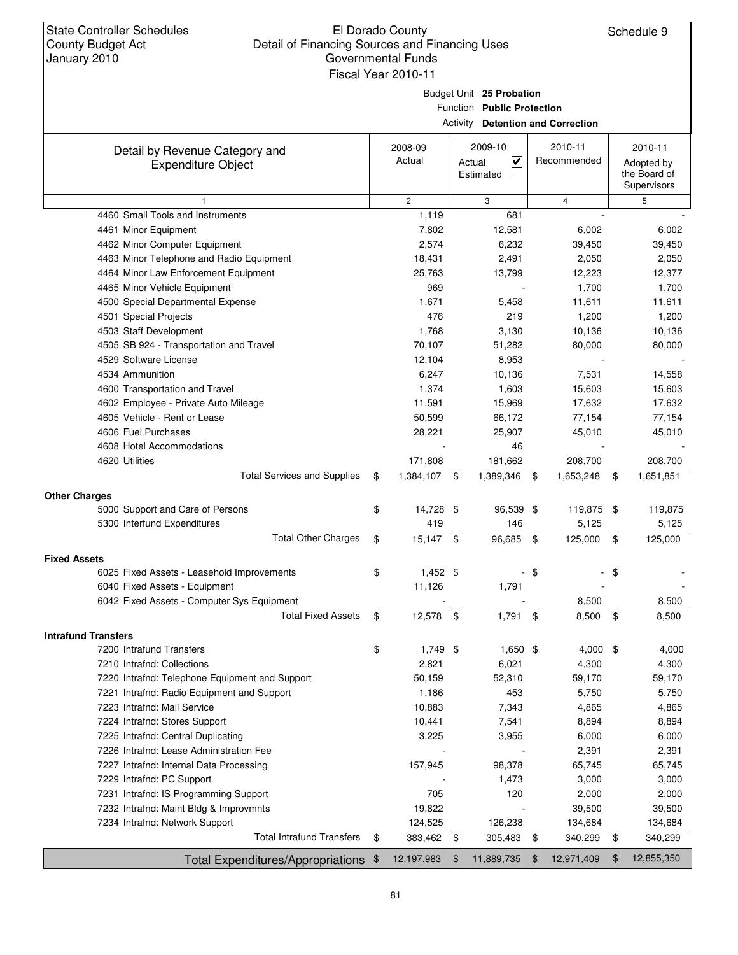State Controller Schedules County Budget Act January 2010

#### El Dorado County Detail of Financing Sources and Financing Uses Governmental Funds Fiscal Year 2010-11

Schedule 9

Budget Unit **25 Probation**

Function **Public Protection**

Activity **Detention and Correction**

| <b>ACTIVITY Detention and Correction</b>                          |    |                |                              |                         |     |             |      |              |
|-------------------------------------------------------------------|----|----------------|------------------------------|-------------------------|-----|-------------|------|--------------|
| Detail by Revenue Category and                                    |    | 2008-09        | 2009-10                      |                         |     | 2010-11     |      | 2010-11      |
| <b>Expenditure Object</b>                                         |    | Actual         | Actual                       | $\overline{\mathbf{v}}$ |     | Recommended |      | Adopted by   |
|                                                                   |    |                | Estimated                    |                         |     |             |      | the Board of |
|                                                                   |    |                |                              |                         |     |             |      | Supervisors  |
| 1                                                                 |    | $\overline{c}$ | 3                            |                         |     | 4           |      | 5            |
| 4460 Small Tools and Instruments                                  |    | 1,119          |                              | 681                     |     |             |      |              |
| 4461 Minor Equipment                                              |    | 7,802          |                              | 12,581                  |     | 6,002       |      | 6,002        |
| 4462 Minor Computer Equipment                                     |    | 2,574          |                              | 6,232                   |     | 39,450      |      | 39,450       |
| 4463 Minor Telephone and Radio Equipment                          |    | 18,431         |                              | 2,491                   |     | 2,050       |      | 2,050        |
| 4464 Minor Law Enforcement Equipment                              |    | 25,763         |                              | 13,799                  |     | 12,223      |      | 12,377       |
| 4465 Minor Vehicle Equipment                                      |    | 969            |                              |                         |     | 1,700       |      | 1,700        |
| 4500 Special Departmental Expense                                 |    | 1,671          |                              | 5,458                   |     | 11,611      |      | 11,611       |
| 4501 Special Projects                                             |    | 476            |                              | 219                     |     | 1,200       |      | 1,200        |
| 4503 Staff Development                                            |    | 1,768          |                              | 3,130                   |     | 10,136      |      | 10,136       |
| 4505 SB 924 - Transportation and Travel                           |    | 70,107         |                              | 51,282                  |     | 80,000      |      | 80,000       |
| 4529 Software License                                             |    | 12,104         |                              | 8,953                   |     |             |      |              |
| 4534 Ammunition                                                   |    | 6,247          |                              | 10,136                  |     | 7,531       |      | 14,558       |
| 4600 Transportation and Travel                                    |    | 1,374          |                              | 1,603                   |     | 15,603      |      | 15,603       |
| 4602 Employee - Private Auto Mileage                              |    | 11,591         |                              | 15,969                  |     | 17,632      |      | 17,632       |
| 4605 Vehicle - Rent or Lease                                      |    | 50,599         |                              | 66,172                  |     | 77,154      |      | 77,154       |
| 4606 Fuel Purchases                                               |    | 28,221         |                              | 25,907                  |     | 45,010      |      | 45,010       |
| 4608 Hotel Accommodations                                         |    |                |                              | 46                      |     |             |      |              |
| 4620 Utilities                                                    |    | 171,808        |                              | 181,662                 |     | 208,700     |      | 208,700      |
| <b>Total Services and Supplies</b>                                | \$ | 1,384,107 \$   |                              | 1,389,346 \$            |     | 1,653,248   | - \$ | 1,651,851    |
| <b>Other Charges</b>                                              |    |                |                              |                         |     |             |      |              |
| 5000 Support and Care of Persons                                  | \$ | 14,728 \$      |                              | 96,539 \$               |     | 119,875 \$  |      | 119,875      |
| 5300 Interfund Expenditures                                       |    | 419            |                              | 146                     |     | 5,125       |      | 5,125        |
| <b>Total Other Charges</b>                                        | \$ | $15,147$ \$    |                              | 96,685                  | \$  | 125,000     | \$   | 125,000      |
|                                                                   |    |                |                              |                         |     |             |      |              |
| <b>Fixed Assets</b><br>6025 Fixed Assets - Leasehold Improvements | \$ | $1,452$ \$     |                              |                         | -\$ |             | \$   |              |
| 6040 Fixed Assets - Equipment                                     |    | 11,126         |                              | 1,791                   |     |             |      |              |
| 6042 Fixed Assets - Computer Sys Equipment                        |    |                |                              |                         |     | 8,500       |      | 8,500        |
| <b>Total Fixed Assets</b>                                         |    |                |                              |                         |     |             |      |              |
|                                                                   | \$ | 12,578 \$      |                              | $1,791$ \$              |     | 8,500       | \$   | 8,500        |
| <b>Intrafund Transfers</b>                                        |    |                |                              |                         |     |             |      |              |
| 7200 Intrafund Transfers                                          | \$ | $1,749$ \$     |                              | $1,650$ \$              |     | 4,000 \$    |      | 4,000        |
| 7210 Intrafnd: Collections                                        |    | 2,821          |                              | 6,021                   |     | 4,300       |      | 4,300        |
| 7220 Intrafnd: Telephone Equipment and Support                    |    | 50,159         |                              | 52,310                  |     | 59,170      |      | 59,170       |
| 7221 Intrafnd: Radio Equipment and Support                        |    | 1,186          |                              | 453                     |     | 5,750       |      | 5,750        |
| 7223 Intrafnd: Mail Service                                       |    | 10,883         |                              | 7,343                   |     | 4,865       |      | 4,865        |
| 7224 Intrafnd: Stores Support                                     |    | 10,441         |                              | 7,541                   |     | 8,894       |      | 8,894        |
| 7225 Intrafnd: Central Duplicating                                |    | 3,225          |                              | 3,955                   |     | 6,000       |      | 6,000        |
| 7226 Intrafnd: Lease Administration Fee                           |    |                |                              |                         |     | 2,391       |      | 2,391        |
| 7227 Intrafnd: Internal Data Processing                           |    | 157,945        |                              | 98,378                  |     | 65,745      |      | 65,745       |
| 7229 Intrafnd: PC Support                                         |    |                |                              | 1,473                   |     | 3,000       |      | 3,000        |
| 7231 Intrafnd: IS Programming Support                             |    | 705            |                              | 120                     |     | 2,000       |      | 2,000        |
| 7232 Intrafnd: Maint Bldg & Improvmnts                            |    | 19,822         |                              |                         |     | 39,500      |      | 39,500       |
| 7234 Intrafnd: Network Support                                    |    | 124,525        |                              | 126,238                 |     | 134,684     |      | 134,684      |
| <b>Total Intrafund Transfers</b>                                  | \$ | 383,462 \$     |                              | 305,483 \$              |     | 340,299     | \$   | 340,299      |
| Total Expenditures/Appropriations \$                              |    | 12,197,983     | 11,889,735<br>$\mathfrak{F}$ |                         | \$  | 12,971,409  | \$   | 12,855,350   |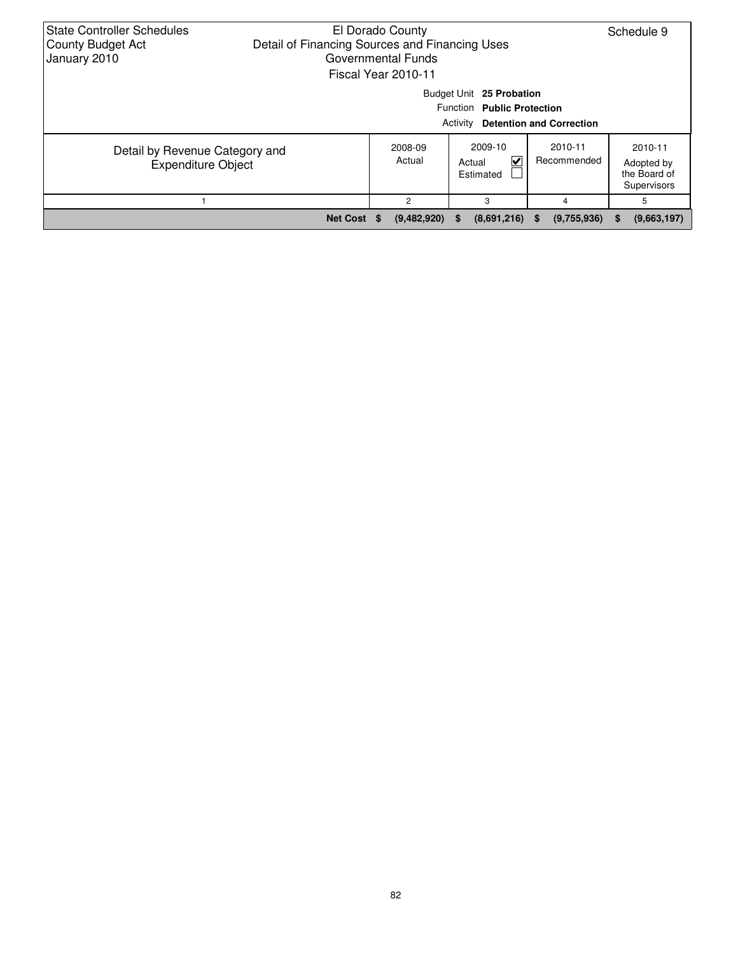| <b>State Controller Schedules</b><br><b>County Budget Act</b><br>January 2010 | El Dorado County<br>Detail of Financing Sources and Financing Uses<br>Governmental Funds<br>Fiscal Year 2010-11 | Schedule 9          |                                     |                         |                                                      |  |  |
|-------------------------------------------------------------------------------|-----------------------------------------------------------------------------------------------------------------|---------------------|-------------------------------------|-------------------------|------------------------------------------------------|--|--|
|                                                                               | Budget Unit 25 Probation<br>Function Public Protection<br><b>Detention and Correction</b><br>Activity           |                     |                                     |                         |                                                      |  |  |
| Detail by Revenue Category and<br><b>Expenditure Object</b>                   |                                                                                                                 | 2008-09<br>Actual   | 2009-10<br>V<br>Actual<br>Estimated | 2010-11<br>Recommended  | 2010-11<br>Adopted by<br>the Board of<br>Supervisors |  |  |
|                                                                               |                                                                                                                 | 5                   |                                     |                         |                                                      |  |  |
|                                                                               | <b>Net Cost</b>                                                                                                 | (9,482,920)<br>- 36 | (8,691,216)<br><b>S</b>             | (9,755,936)<br><b>S</b> | (9,663,197)<br>S.                                    |  |  |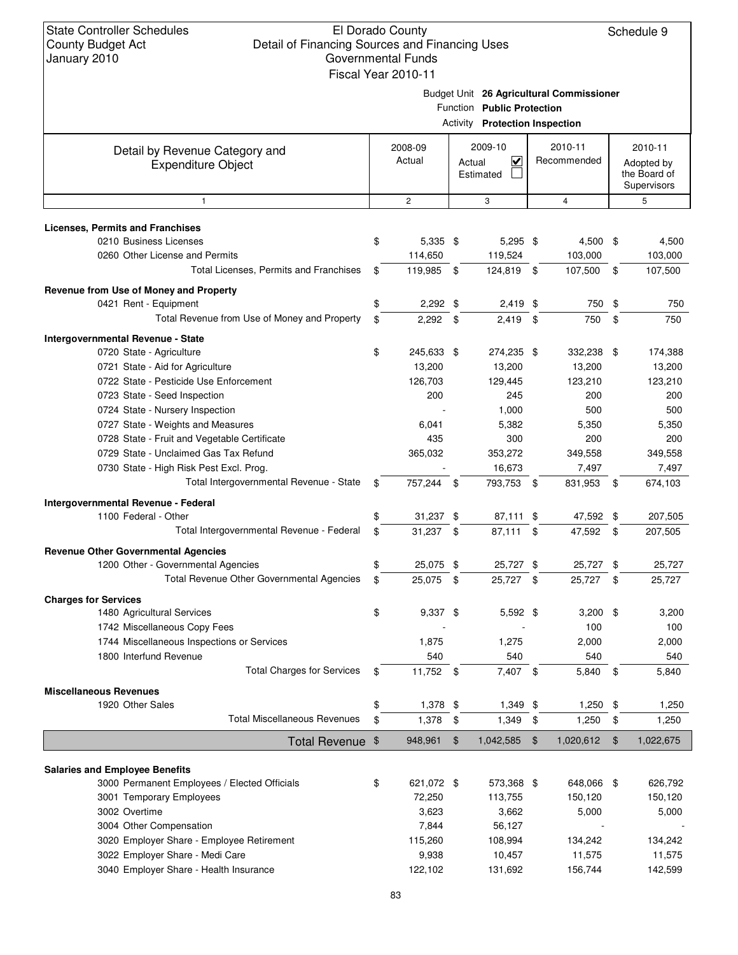Schedule 9

Budget Unit **26 Agricultural Commissioner**

|                                                             |                   |               | <b>FUNILL FIVICULIUI</b><br><b>Activity Protection Inspection</b> |                        |            |                                                      |
|-------------------------------------------------------------|-------------------|---------------|-------------------------------------------------------------------|------------------------|------------|------------------------------------------------------|
| Detail by Revenue Category and<br><b>Expenditure Object</b> | 2008-09<br>Actual |               | 2009-10<br>$\overline{\mathbf{v}}$<br>Actual<br>Estimated         | 2010-11<br>Recommended |            | 2010-11<br>Adopted by<br>the Board of<br>Supervisors |
| $\mathbf{1}$                                                | $\overline{c}$    |               | 3                                                                 | $\overline{4}$         |            | 5                                                    |
| <b>Licenses, Permits and Franchises</b>                     |                   |               |                                                                   |                        |            |                                                      |
| 0210 Business Licenses                                      | \$<br>5,335 \$    |               | 5,295 \$                                                          | 4,500 \$               |            | 4,500                                                |
| 0260 Other License and Permits                              | 114,650           |               | 119,524                                                           | 103,000                |            | 103,000                                              |
| Total Licenses, Permits and Franchises                      | \$<br>119,985     | $\mathfrak s$ | 124,819 \$                                                        | 107,500                | - \$       | 107,500                                              |
| Revenue from Use of Money and Property                      |                   |               |                                                                   |                        |            |                                                      |
| 0421 Rent - Equipment                                       | \$<br>$2,292$ \$  |               | $2,419$ \$                                                        | 750                    | \$         | 750                                                  |
| Total Revenue from Use of Money and Property                | \$<br>2,292       | \$            | 2,419                                                             | \$<br>750              | \$         | 750                                                  |
| Intergovernmental Revenue - State                           |                   |               |                                                                   |                        |            |                                                      |
| 0720 State - Agriculture                                    | \$<br>245,633 \$  |               | 274,235 \$                                                        | 332.238 \$             |            | 174,388                                              |
| 0721 State - Aid for Agriculture                            | 13,200            |               | 13,200                                                            | 13,200                 |            | 13,200                                               |
| 0722 State - Pesticide Use Enforcement                      | 126,703           |               | 129.445                                                           | 123,210                |            | 123,210                                              |
| 0723 State - Seed Inspection                                | 200               |               | 245                                                               | 200                    |            | 200                                                  |
| 0724 State - Nursery Inspection                             |                   |               | 1,000                                                             | 500                    |            | 500                                                  |
| 0727 State - Weights and Measures                           | 6,041             |               | 5,382                                                             | 5,350                  |            | 5,350                                                |
| 0728 State - Fruit and Vegetable Certificate                | 435               |               | 300                                                               | 200                    |            | 200                                                  |
| 0729 State - Unclaimed Gas Tax Refund                       | 365,032           |               | 353,272                                                           | 349,558                |            | 349,558                                              |
| 0730 State - High Risk Pest Excl. Prog.                     |                   |               | 16,673                                                            | 7,497                  |            | 7,497                                                |
| Total Intergovernmental Revenue - State                     | \$<br>757,244 \$  |               | 793,753 \$                                                        | 831,953                | - \$       | 674,103                                              |
| Intergovernmental Revenue - Federal                         |                   |               |                                                                   |                        |            |                                                      |
| 1100 Federal - Other                                        | \$<br>31,237 \$   |               | 87,111 \$                                                         | 47,592 \$              |            | 207,505                                              |
| Total Intergovernmental Revenue - Federal                   | \$<br>$31,237$ \$ |               | 87,111 \$                                                         | 47,592 \$              |            | 207,505                                              |
| <b>Revenue Other Governmental Agencies</b>                  |                   |               |                                                                   |                        |            |                                                      |
| 1200 Other - Governmental Agencies                          | \$<br>25,075 \$   |               | 25,727 \$                                                         | 25,727 \$              |            | 25,727                                               |
| Total Revenue Other Governmental Agencies                   | \$<br>25,075      | \$            | 25,727 \$                                                         | 25,727                 | - \$       | 25,727                                               |
| <b>Charges for Services</b>                                 |                   |               |                                                                   |                        |            |                                                      |
| 1480 Agricultural Services                                  | \$<br>9,337 \$    |               | 5,592 \$                                                          | $3,200$ \$             |            | 3,200                                                |
| 1742 Miscellaneous Copy Fees                                |                   |               |                                                                   | 100                    |            | 100                                                  |
| 1744 Miscellaneous Inspections or Services                  | 1,875             |               | 1,275                                                             | 2,000                  |            | 2,000                                                |
| 1800 Interfund Revenue                                      | 540               |               | 540                                                               | 540                    |            | 540                                                  |
| <b>Total Charges for Services</b>                           | \$<br>11,752 \$   |               | 7,407 \$                                                          | 5,840                  | $\sqrt{3}$ | 5,840                                                |
| <b>Miscellaneous Revenues</b>                               |                   |               |                                                                   |                        |            |                                                      |
| 1920 Other Sales                                            | \$<br>1,378       | \$            | 1,349 \$                                                          | 1,250                  | \$         | 1,250                                                |
| <b>Total Miscellaneous Revenues</b>                         | \$<br>$1,378$ \$  |               | $1,349$ \$                                                        | 1,250                  | \$         | 1,250                                                |
| Total Revenue \$                                            | 948,961           | $\frac{1}{2}$ | 1,042,585                                                         | \$<br>1,020,612        | \$         | 1,022,675                                            |
| <b>Salaries and Employee Benefits</b>                       |                   |               |                                                                   |                        |            |                                                      |
| 3000 Permanent Employees / Elected Officials                | \$<br>621,072 \$  |               | 573,368 \$                                                        | 648,066 \$             |            | 626,792                                              |
| 3001 Temporary Employees                                    | 72,250            |               | 113,755                                                           | 150,120                |            | 150,120                                              |
| 3002 Overtime                                               | 3,623             |               | 3,662                                                             | 5,000                  |            | 5,000                                                |
| 3004 Other Compensation                                     | 7,844             |               | 56,127                                                            |                        |            |                                                      |
| 3020 Employer Share - Employee Retirement                   | 115,260           |               | 108,994                                                           | 134,242                |            | 134,242                                              |
| 3022 Employer Share - Medi Care                             | 9,938             |               | 10,457                                                            | 11,575                 |            | 11,575                                               |
| 3040 Employer Share - Health Insurance                      | 122,102           |               | 131,692                                                           | 156,744                |            | 142,599                                              |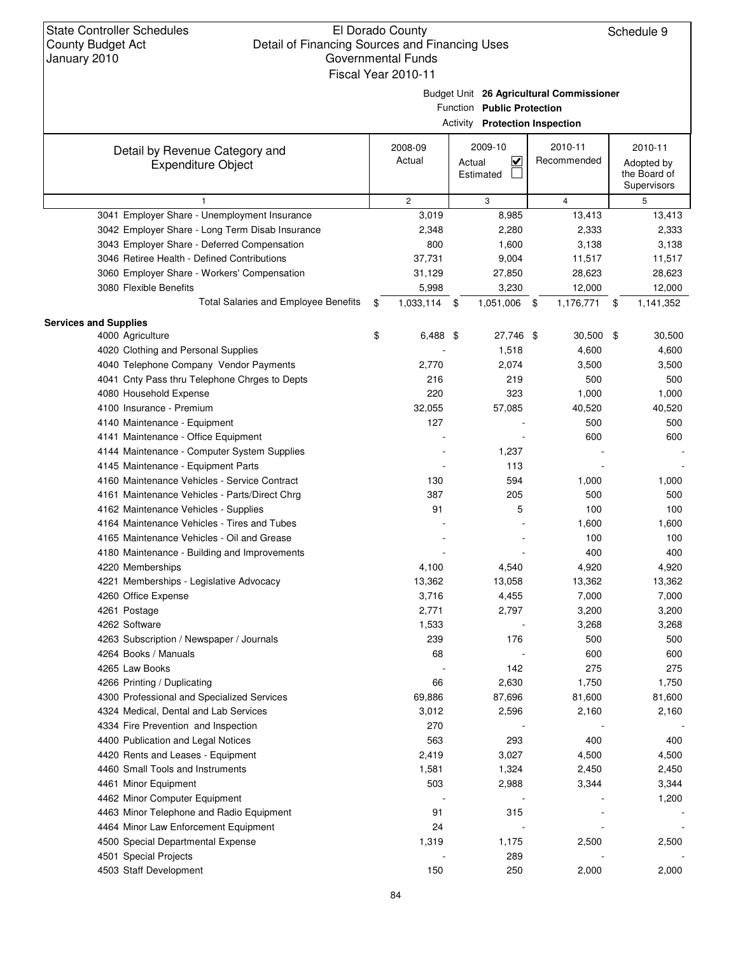Budget Unit **26 Agricultural Commissioner**

|  | <b>Activity Protection Inspection</b> |  |
|--|---------------------------------------|--|
|--|---------------------------------------|--|

| Detail by Revenue Category and<br><b>Expenditure Object</b>      | 2008-09<br>Actual | 2009-10<br>$\overline{\mathbf{v}}$<br>Actual<br>Estimated | 2010-11<br>Recommended | 2010-11<br>Adopted by<br>the Board of<br>Supervisors |
|------------------------------------------------------------------|-------------------|-----------------------------------------------------------|------------------------|------------------------------------------------------|
|                                                                  | $\overline{c}$    | 3                                                         | $\overline{4}$         | 5                                                    |
| 3041 Employer Share - Unemployment Insurance                     | 3,019             | 8,985                                                     | 13,413                 | 13,413                                               |
| 3042 Employer Share - Long Term Disab Insurance                  | 2,348             | 2,280                                                     | 2,333                  | 2,333                                                |
| 3043 Employer Share - Deferred Compensation                      | 800               | 1,600                                                     | 3,138                  | 3,138                                                |
| 3046 Retiree Health - Defined Contributions                      | 37,731            | 9,004                                                     | 11,517                 | 11,517                                               |
| 3060 Employer Share - Workers' Compensation                      | 31,129            | 27,850                                                    | 28,623                 | 28,623                                               |
| 3080 Flexible Benefits                                           | 5,998             | 3,230                                                     | 12,000                 | 12,000                                               |
| <b>Total Salaries and Employee Benefits</b>                      | \$<br>1,033,114   | 1,051,006<br>- \$                                         | 1,176,771<br>\$        | \$<br>1,141,352                                      |
| <b>Services and Supplies</b>                                     |                   |                                                           |                        |                                                      |
| 4000 Agriculture                                                 | \$<br>$6,488$ \$  | 27,746 \$                                                 | 30,500                 | \$<br>30,500                                         |
| 4020 Clothing and Personal Supplies                              |                   | 1,518                                                     | 4,600                  | 4,600                                                |
| 4040 Telephone Company Vendor Payments                           | 2,770             | 2,074                                                     | 3,500                  | 3,500                                                |
| 4041 Cnty Pass thru Telephone Chrges to Depts                    | 216               | 219                                                       | 500                    | 500                                                  |
| 4080 Household Expense                                           | 220               | 323                                                       | 1,000                  | 1,000                                                |
| 4100 Insurance - Premium                                         | 32,055            | 57,085                                                    | 40,520                 | 40,520                                               |
| 4140 Maintenance - Equipment                                     | 127               |                                                           | 500                    | 500                                                  |
| 4141 Maintenance - Office Equipment                              |                   |                                                           | 600                    | 600                                                  |
| 4144 Maintenance - Computer System Supplies                      |                   | 1,237                                                     |                        |                                                      |
| 4145 Maintenance - Equipment Parts                               |                   | 113                                                       |                        |                                                      |
| 4160 Maintenance Vehicles - Service Contract                     | 130               | 594                                                       | 1,000                  | 1,000                                                |
| 4161 Maintenance Vehicles - Parts/Direct Chrg                    | 387               | 205                                                       | 500                    | 500                                                  |
| 4162 Maintenance Vehicles - Supplies                             | 91                | 5                                                         | 100                    | 100                                                  |
| 4164 Maintenance Vehicles - Tires and Tubes                      |                   |                                                           | 1,600                  | 1,600                                                |
| 4165 Maintenance Vehicles - Oil and Grease                       |                   |                                                           | 100                    | 100                                                  |
| 4180 Maintenance - Building and Improvements                     |                   |                                                           | 400                    | 400                                                  |
| 4220 Memberships                                                 | 4,100             | 4,540                                                     | 4,920                  | 4,920                                                |
| 4221 Memberships - Legislative Advocacy                          | 13,362            | 13,058                                                    | 13,362                 | 13,362                                               |
| 4260 Office Expense                                              | 3,716             | 4,455                                                     | 7,000                  | 7,000                                                |
| 4261 Postage                                                     | 2,771             | 2,797                                                     | 3,200                  | 3,200                                                |
| 4262 Software                                                    | 1,533             |                                                           | 3,268<br>500           | 3,268                                                |
| 4263 Subscription / Newspaper / Journals<br>4264 Books / Manuals | 239<br>68         | 176                                                       | 600                    | 500<br>600                                           |
| 4265 Law Books                                                   |                   | 142                                                       | 275                    | 275                                                  |
| 4266 Printing / Duplicating                                      | 66                | 2,630                                                     | 1,750                  | 1,750                                                |
| 4300 Professional and Specialized Services                       | 69,886            | 87,696                                                    | 81,600                 | 81,600                                               |
| 4324 Medical, Dental and Lab Services                            | 3,012             | 2,596                                                     | 2,160                  | 2,160                                                |
| 4334 Fire Prevention and Inspection                              | 270               |                                                           |                        |                                                      |
| 4400 Publication and Legal Notices                               | 563               | 293                                                       | 400                    | 400                                                  |
| 4420 Rents and Leases - Equipment                                | 2,419             | 3,027                                                     | 4,500                  | 4,500                                                |
| 4460 Small Tools and Instruments                                 | 1,581             | 1,324                                                     | 2,450                  | 2,450                                                |
| 4461 Minor Equipment                                             | 503               | 2,988                                                     | 3,344                  | 3,344                                                |
| 4462 Minor Computer Equipment                                    |                   |                                                           |                        | 1,200                                                |
| 4463 Minor Telephone and Radio Equipment                         | 91                | 315                                                       |                        |                                                      |
| 4464 Minor Law Enforcement Equipment                             | 24                |                                                           |                        |                                                      |
| 4500 Special Departmental Expense                                | 1,319             | 1,175                                                     | 2,500                  | 2,500                                                |
| 4501 Special Projects                                            |                   | 289                                                       |                        |                                                      |
| 4503 Staff Development                                           | 150               | 250                                                       | 2,000                  | 2,000                                                |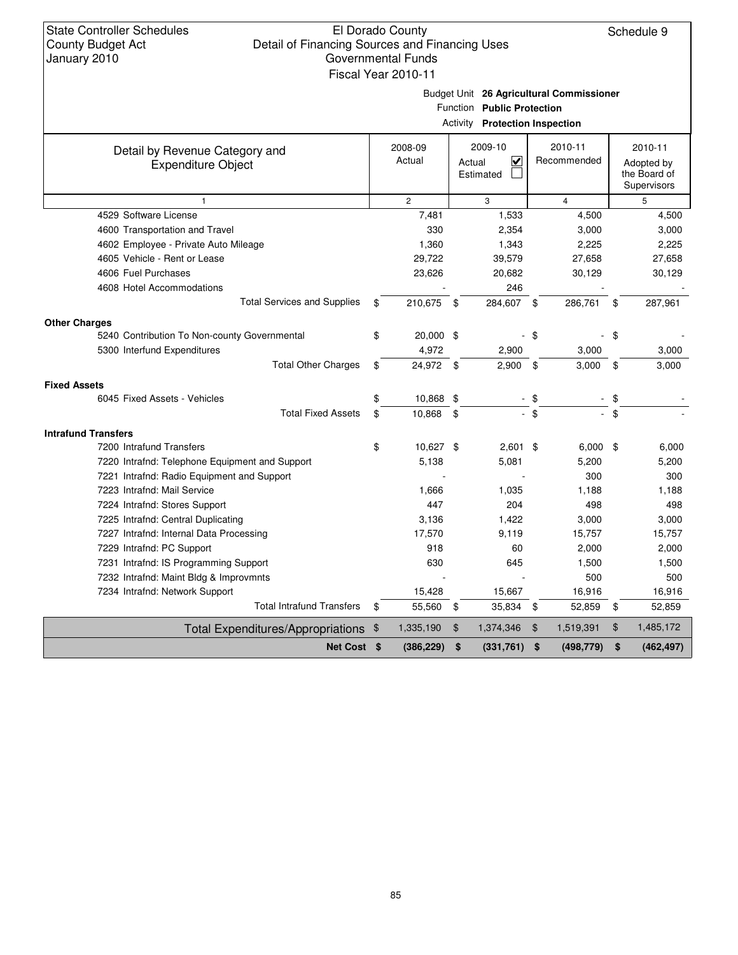Budget Unit **26 Agricultural Commissioner**

| <b>Activity Protection Inspection</b> |  |
|---------------------------------------|--|
|                                       |  |

| Detail by Revenue Category and                 | 2008-09         |      | 2009-10                           |        | 2010-11        | 2010-11                     |
|------------------------------------------------|-----------------|------|-----------------------------------|--------|----------------|-----------------------------|
| <b>Expenditure Object</b>                      | Actual          |      | $\overline{\mathbf{v}}$<br>Actual |        | Recommended    | Adopted by                  |
|                                                |                 |      | Estimated                         |        |                | the Board of<br>Supervisors |
| $\mathbf{1}$                                   | $\mathbf{2}$    |      | 3                                 |        | $\overline{4}$ | 5                           |
| 4529 Software License                          | 7,481           |      | 1,533                             |        | 4,500          | 4,500                       |
| 4600 Transportation and Travel                 | 330             |      | 2,354                             |        | 3,000          | 3,000                       |
| 4602 Employee - Private Auto Mileage           | 1,360           |      | 1,343                             |        | 2,225          | 2,225                       |
| 4605 Vehicle - Rent or Lease                   | 29,722          |      | 39,579                            |        | 27,658         | 27,658                      |
| 4606 Fuel Purchases                            | 23,626          |      | 20,682                            |        | 30,129         | 30,129                      |
| 4608 Hotel Accommodations                      |                 |      | 246                               |        |                |                             |
| <b>Total Services and Supplies</b>             | \$<br>210,675   | - \$ | 284,607                           | - \$   | 286,761        | \$<br>287,961               |
| <b>Other Charges</b>                           |                 |      |                                   |        |                |                             |
| 5240 Contribution To Non-county Governmental   | \$<br>20,000 \$ |      |                                   | -\$    |                | \$                          |
| 5300 Interfund Expenditures                    | 4,972           |      | 2,900                             |        | 3,000          | 3,000                       |
| <b>Total Other Charges</b>                     | \$<br>24,972 \$ |      | 2,900                             | \$     | 3,000          | \$<br>3,000                 |
|                                                |                 |      |                                   |        |                |                             |
| <b>Fixed Assets</b>                            |                 |      |                                   |        |                |                             |
| 6045 Fixed Assets - Vehicles                   | \$<br>10,868 \$ |      |                                   | - \$   |                | \$                          |
| <b>Total Fixed Assets</b>                      | \$<br>10,868    | \$   |                                   | $-$ \$ |                | \$                          |
| <b>Intrafund Transfers</b>                     |                 |      |                                   |        |                |                             |
| 7200 Intrafund Transfers                       | \$<br>10,627 \$ |      | $2,601$ \$                        |        | 6,000          | \$<br>6,000                 |
| 7220 Intrafnd: Telephone Equipment and Support | 5,138           |      | 5,081                             |        | 5,200          | 5,200                       |
| 7221 Intrafnd: Radio Equipment and Support     |                 |      |                                   |        | 300            | 300                         |
| 7223 Intrafnd: Mail Service                    | 1,666           |      | 1,035                             |        | 1,188          | 1,188                       |
| 7224 Intrafnd: Stores Support                  | 447             |      | 204                               |        | 498            | 498                         |
| 7225 Intrafnd: Central Duplicating             | 3,136           |      | 1,422                             |        | 3,000          | 3,000                       |
| 7227 Intrafnd: Internal Data Processing        | 17,570          |      | 9,119                             |        | 15,757         | 15,757                      |
| 7229 Intrafnd: PC Support                      | 918             |      | 60                                |        | 2,000          | 2,000                       |
| 7231 Intrafnd: IS Programming Support          | 630             |      | 645                               |        | 1,500          | 1,500                       |
| 7232 Intrafnd: Maint Bldg & Improvmnts         |                 |      |                                   |        | 500            | 500                         |
| 7234 Intrafnd: Network Support                 | 15,428          |      | 15,667                            |        | 16,916         | 16,916                      |
| <b>Total Intrafund Transfers</b>               | \$<br>55,560    | \$   | 35,834                            | \$     | 52,859         | \$<br>52,859                |
| Total Expenditures/Appropriations \$           | 1,335,190       | \$   | 1,374,346                         | \$     | 1,519,391      | \$<br>1,485,172             |
| Net Cost \$                                    | (386, 229)      | \$   | (331, 761)                        | \$     | (498, 779)     | \$<br>(462, 497)            |
|                                                |                 |      |                                   |        |                |                             |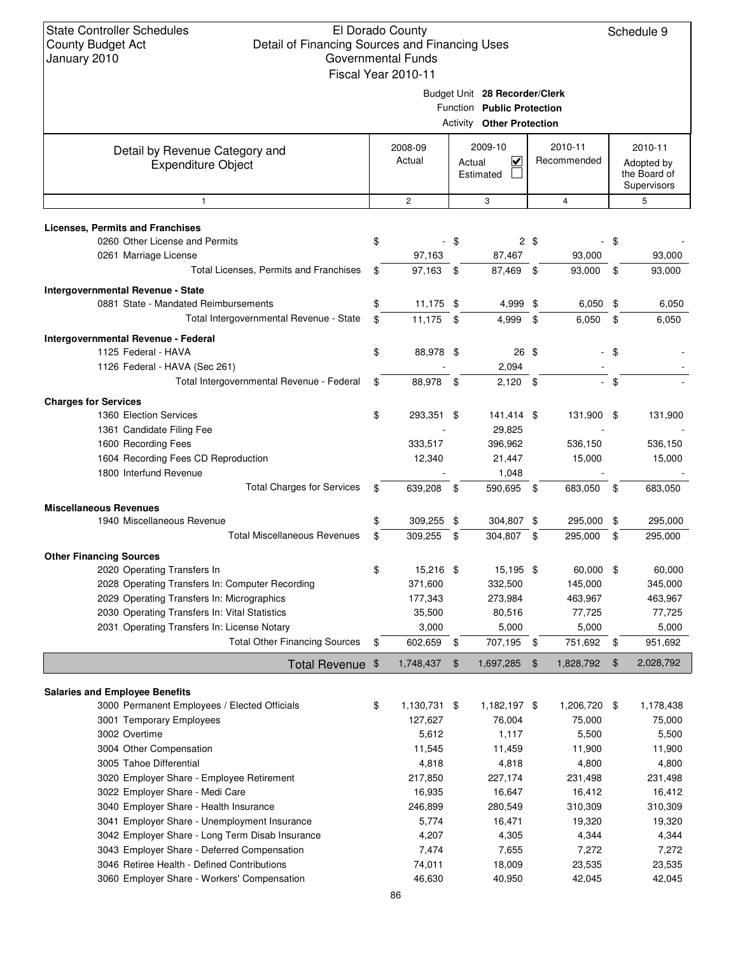| 11 |                               |
|----|-------------------------------|
|    | Budget Unit 28 Recorder/Clerk |

|                                                                                              | Function Public Protection       |                   |      |                                                |      |                        |        |                                                      |
|----------------------------------------------------------------------------------------------|----------------------------------|-------------------|------|------------------------------------------------|------|------------------------|--------|------------------------------------------------------|
|                                                                                              | <b>Activity Other Protection</b> |                   |      |                                                |      |                        |        |                                                      |
| Detail by Revenue Category and<br><b>Expenditure Object</b>                                  |                                  | 2008-09<br>Actual |      | 2009-10<br>$\checkmark$<br>Actual<br>Estimated |      | 2010-11<br>Recommended |        | 2010-11<br>Adopted by<br>the Board of<br>Supervisors |
| $\mathbf{1}$                                                                                 |                                  | $\mathbf{2}$      |      | 3                                              |      | 4                      |        | 5                                                    |
| Licenses, Permits and Franchises                                                             |                                  |                   |      |                                                |      |                        |        |                                                      |
| 0260 Other License and Permits                                                               | \$                               |                   | \$   |                                                | 2\$  |                        | \$     |                                                      |
| 0261 Marriage License                                                                        |                                  | 97,163            |      | 87,467                                         |      | 93,000                 |        | 93,000                                               |
| Total Licenses, Permits and Franchises                                                       | \$                               | 97,163 \$         |      | 87,469                                         | -\$  | 93,000                 | \$     | 93,000                                               |
| Intergovernmental Revenue - State                                                            |                                  |                   |      |                                                |      |                        |        |                                                      |
| 0881 State - Mandated Reimbursements                                                         | \$                               | $11,175$ \$       |      | 4,999                                          | \$   | 6,050                  | \$     | 6,050                                                |
| Total Intergovernmental Revenue - State                                                      | \$                               | 11,175            | - \$ | 4,999                                          | \$   | 6,050                  | \$     | 6,050                                                |
| Intergovernmental Revenue - Federal                                                          |                                  |                   |      |                                                |      |                        |        |                                                      |
| 1125 Federal - HAVA                                                                          | \$                               | 88,978 \$         |      | 26 \$                                          |      |                        | \$     |                                                      |
| 1126 Federal - HAVA (Sec 261)                                                                |                                  |                   |      | 2,094                                          |      |                        |        |                                                      |
| Total Intergovernmental Revenue - Federal                                                    | \$                               | 88,978 \$         |      | $2,120$ \$                                     |      |                        | $-$ \$ |                                                      |
| <b>Charges for Services</b>                                                                  |                                  |                   |      |                                                |      |                        |        |                                                      |
| 1360 Election Services<br>1361 Candidate Filing Fee                                          | \$                               | 293,351 \$        |      | 141,414 \$<br>29,825                           |      | 131,900 \$             |        | 131,900                                              |
| 1600 Recording Fees                                                                          |                                  | 333,517           |      | 396,962                                        |      | 536,150                |        | 536,150                                              |
| 1604 Recording Fees CD Reproduction                                                          |                                  | 12,340            |      | 21,447                                         |      | 15,000                 |        | 15,000                                               |
| 1800 Interfund Revenue                                                                       |                                  |                   |      | 1,048                                          |      |                        |        |                                                      |
| <b>Total Charges for Services</b>                                                            | \$                               | 639,208           | - \$ | 590,695 \$                                     |      | 683,050                | - \$   | 683,050                                              |
| <b>Miscellaneous Revenues</b>                                                                |                                  |                   |      |                                                |      |                        |        |                                                      |
| 1940 Miscellaneous Revenue                                                                   | \$                               | 309,255           | \$   | 304,807                                        | \$   | 295,000                | \$     | 295,000                                              |
| <b>Total Miscellaneous Revenues</b>                                                          | \$                               | 309,255           | - \$ | 304,807 \$                                     |      | 295,000                | \$     | 295,000                                              |
| <b>Other Financing Sources</b>                                                               |                                  |                   |      |                                                |      |                        |        |                                                      |
| 2020 Operating Transfers In                                                                  | \$                               | 15,216 \$         |      | 15,195 \$                                      |      | 60,000 \$              |        | 60,000                                               |
| 2028 Operating Transfers In: Computer Recording                                              |                                  | 371,600           |      | 332,500                                        |      | 145,000                |        | 345,000                                              |
| 2029 Operating Transfers In: Micrographics                                                   |                                  | 177,343           |      | 273,984                                        |      | 463,967                |        | 463,967                                              |
| 2030 Operating Transfers In: Vital Statistics<br>2031 Operating Transfers In: License Notary |                                  | 35,500<br>3,000   |      | 80,516<br>5,000                                |      | 77,725<br>5,000        |        | 77,725<br>5,000                                      |
| <b>Total Other Financing Sources</b>                                                         |                                  | 602,659           | \$   | 707,195                                        | - \$ | 751,692                | \$     | 951,692                                              |
|                                                                                              |                                  |                   |      |                                                |      | 1,828,792              | \$     | 2,028,792                                            |
| Total Revenue \$                                                                             |                                  | 1,748,437         | \$   | 1,697,285                                      | - \$ |                        |        |                                                      |
| <b>Salaries and Employee Benefits</b>                                                        |                                  |                   |      |                                                |      |                        |        |                                                      |
| 3000 Permanent Employees / Elected Officials                                                 | \$                               | 1,130,731 \$      |      | 1,182,197 \$                                   |      | 1,206,720 \$           |        | 1,178,438                                            |
| 3001 Temporary Employees                                                                     |                                  | 127,627           |      | 76,004                                         |      | 75,000                 |        | 75,000                                               |
| 3002 Overtime                                                                                |                                  | 5,612             |      | 1,117                                          |      | 5,500                  |        | 5,500                                                |
| 3004 Other Compensation<br>3005 Tahoe Differential                                           |                                  | 11,545<br>4,818   |      | 11,459<br>4,818                                |      | 11,900<br>4,800        |        | 11,900<br>4,800                                      |
| 3020 Employer Share - Employee Retirement                                                    |                                  | 217,850           |      | 227,174                                        |      | 231,498                |        | 231,498                                              |
| 3022 Employer Share - Medi Care                                                              |                                  | 16,935            |      | 16,647                                         |      | 16,412                 |        | 16,412                                               |
| 3040 Employer Share - Health Insurance                                                       |                                  | 246,899           |      | 280,549                                        |      | 310,309                |        | 310,309                                              |
| 3041 Employer Share - Unemployment Insurance                                                 |                                  | 5,774             |      | 16,471                                         |      | 19,320                 |        | 19,320                                               |
| 3042 Employer Share - Long Term Disab Insurance                                              |                                  | 4,207             |      | 4,305                                          |      | 4,344                  |        | 4,344                                                |
| 3043 Employer Share - Deferred Compensation                                                  |                                  | 7,474             |      | 7,655                                          |      | 7,272                  |        | 7,272                                                |
| 3046 Retiree Health - Defined Contributions                                                  |                                  | 74,011            |      | 18,009                                         |      | 23,535                 |        | 23,535                                               |
| 3060 Employer Share - Workers' Compensation                                                  |                                  | 46,630            |      | 40,950                                         |      | 42,045                 |        | 42,045                                               |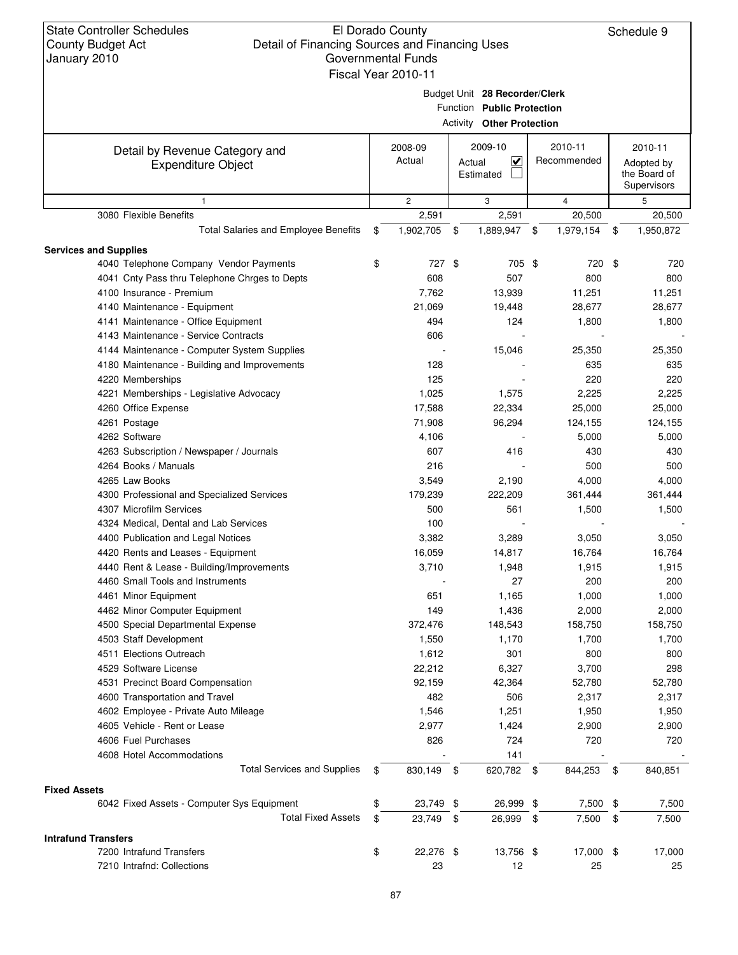State Controller Schedules County Budget Act January 2010

## El Dorado County Detail of Financing Sources and Financing Uses Governmental Funds

Schedule 9

| Governmental Funds  |                      |  |
|---------------------|----------------------|--|
| Fiscal Year 2010-11 |                      |  |
|                     | Budget Unit 28 Recor |  |

**28 Recorder/Clerk**

|                                                             |                                  |                   | Function Public Protection     |                         |     |                        |                                                      |                |  |  |
|-------------------------------------------------------------|----------------------------------|-------------------|--------------------------------|-------------------------|-----|------------------------|------------------------------------------------------|----------------|--|--|
|                                                             | <b>Activity Other Protection</b> |                   |                                |                         |     |                        |                                                      |                |  |  |
| Detail by Revenue Category and<br><b>Expenditure Object</b> |                                  | 2008-09<br>Actual | 2009-10<br>Actual<br>Estimated | $\overline{\mathbf{v}}$ |     | 2010-11<br>Recommended | 2010-11<br>Adopted by<br>the Board of<br>Supervisors |                |  |  |
| $\mathbf{1}$                                                |                                  | $\overline{2}$    | 3                              |                         |     | $\overline{4}$         |                                                      | 5              |  |  |
| 3080 Flexible Benefits                                      |                                  | 2,591             |                                | 2,591                   |     | 20,500                 |                                                      | 20,500         |  |  |
| <b>Total Salaries and Employee Benefits</b>                 | \$                               | 1,902,705         | \$                             | 1,889,947               | -\$ | 1,979,154              | \$                                                   | 1,950,872      |  |  |
| <b>Services and Supplies</b>                                |                                  |                   |                                |                         |     |                        |                                                      |                |  |  |
| 4040 Telephone Company Vendor Payments                      | \$                               | 727 \$            |                                | 705 \$                  |     | 720                    | \$                                                   | 720            |  |  |
| 4041 Cnty Pass thru Telephone Chrges to Depts               |                                  | 608               |                                | 507                     |     | 800                    |                                                      | 800            |  |  |
| 4100 Insurance - Premium                                    |                                  | 7,762             |                                | 13,939                  |     | 11,251                 |                                                      | 11,251         |  |  |
| 4140 Maintenance - Equipment                                |                                  | 21,069            |                                | 19,448                  |     | 28,677                 |                                                      | 28,677         |  |  |
| 4141 Maintenance - Office Equipment                         |                                  | 494               |                                | 124                     |     | 1,800                  |                                                      | 1,800          |  |  |
| 4143 Maintenance - Service Contracts                        |                                  | 606               |                                |                         |     |                        |                                                      |                |  |  |
| 4144 Maintenance - Computer System Supplies                 |                                  |                   |                                | 15,046                  |     | 25,350                 |                                                      | 25,350         |  |  |
| 4180 Maintenance - Building and Improvements                |                                  | 128               |                                |                         |     | 635                    |                                                      | 635            |  |  |
| 4220 Memberships                                            |                                  | 125               |                                |                         |     | 220                    |                                                      | 220            |  |  |
| 4221 Memberships - Legislative Advocacy                     |                                  | 1,025             |                                | 1,575                   |     | 2,225                  |                                                      | 2,225          |  |  |
| 4260 Office Expense                                         |                                  | 17,588            |                                | 22,334                  |     | 25,000                 |                                                      | 25,000         |  |  |
| 4261 Postage                                                |                                  | 71,908            |                                | 96,294                  |     | 124,155                |                                                      | 124,155        |  |  |
| 4262 Software                                               |                                  | 4,106             |                                |                         |     | 5,000                  |                                                      | 5,000          |  |  |
| 4263 Subscription / Newspaper / Journals                    |                                  | 607               |                                | 416                     |     | 430                    |                                                      | 430            |  |  |
| 4264 Books / Manuals                                        |                                  | 216               |                                |                         |     | 500                    |                                                      | 500            |  |  |
| 4265 Law Books                                              |                                  | 3,549             |                                | 2,190                   |     | 4,000                  |                                                      | 4,000          |  |  |
| 4300 Professional and Specialized Services                  |                                  | 179,239           |                                | 222,209                 |     | 361,444                |                                                      | 361,444        |  |  |
| 4307 Microfilm Services                                     |                                  | 500               |                                | 561                     |     | 1,500                  |                                                      | 1,500          |  |  |
| 4324 Medical, Dental and Lab Services                       |                                  | 100               |                                |                         |     |                        |                                                      |                |  |  |
| 4400 Publication and Legal Notices                          |                                  | 3,382             |                                | 3,289                   |     | 3,050                  |                                                      | 3,050          |  |  |
| 4420 Rents and Leases - Equipment                           |                                  | 16,059            |                                | 14,817                  |     | 16,764                 |                                                      | 16,764         |  |  |
| 4440 Rent & Lease - Building/Improvements                   |                                  | 3,710             |                                | 1,948                   |     | 1,915                  |                                                      | 1,915          |  |  |
| 4460 Small Tools and Instruments                            |                                  |                   |                                | 27                      |     | 200                    |                                                      | 200            |  |  |
| 4461 Minor Equipment                                        |                                  | 651               |                                | 1,165                   |     | 1,000                  |                                                      |                |  |  |
| 4462 Minor Computer Equipment                               |                                  | 149               |                                | 1,436                   |     | 2,000                  |                                                      | 1,000<br>2,000 |  |  |
| 4500 Special Departmental Expense                           |                                  | 372,476           |                                | 148,543                 |     | 158,750                |                                                      | 158,750        |  |  |
| 4503 Staff Development                                      |                                  | 1,550             |                                | 1,170                   |     | 1,700                  |                                                      | 1,700          |  |  |
| 4511 Elections Outreach                                     |                                  |                   |                                |                         |     |                        |                                                      |                |  |  |
| 4529 Software License                                       |                                  | 1,612             |                                | 301                     |     | 800                    |                                                      | 800            |  |  |
|                                                             |                                  | 22,212            |                                | 6,327                   |     | 3,700                  |                                                      | 298            |  |  |
| 4531 Precinct Board Compensation                            |                                  | 92,159            |                                | 42,364                  |     | 52,780                 |                                                      | 52,780         |  |  |
| 4600 Transportation and Travel                              |                                  | 482               |                                | 506                     |     | 2,317                  |                                                      | 2,317          |  |  |
| 4602 Employee - Private Auto Mileage                        |                                  | 1,546             |                                | 1,251                   |     | 1,950                  |                                                      | 1,950          |  |  |
| 4605 Vehicle - Rent or Lease                                |                                  | 2,977             |                                | 1,424                   |     | 2,900                  |                                                      | 2,900          |  |  |
| 4606 Fuel Purchases                                         |                                  | 826               |                                | 724                     |     | 720                    |                                                      | 720            |  |  |
| 4608 Hotel Accommodations                                   |                                  |                   |                                | 141                     |     |                        |                                                      |                |  |  |
| <b>Total Services and Supplies</b>                          | \$                               | 830,149           | -\$                            | 620,782 \$              |     | 844,253                | \$                                                   | 840,851        |  |  |
| <b>Fixed Assets</b>                                         |                                  |                   |                                |                         |     |                        |                                                      |                |  |  |
| 6042 Fixed Assets - Computer Sys Equipment                  | \$                               | 23,749 \$         |                                | 26,999 \$               |     | 7,500 \$               |                                                      | 7,500          |  |  |
| <b>Total Fixed Assets</b>                                   | \$                               | 23,749            | - \$                           | 26,999                  | \$  | 7,500                  | \$                                                   | 7,500          |  |  |
| <b>Intrafund Transfers</b>                                  |                                  |                   |                                |                         |     |                        |                                                      |                |  |  |
| 7200 Intrafund Transfers                                    | \$                               | 22,276 \$         |                                | 13,756 \$               |     | 17,000 \$              |                                                      | 17,000         |  |  |
| 7210 Intrafnd: Collections                                  |                                  | 23                |                                | 12                      |     | 25                     |                                                      | 25             |  |  |
|                                                             |                                  |                   |                                |                         |     |                        |                                                      |                |  |  |